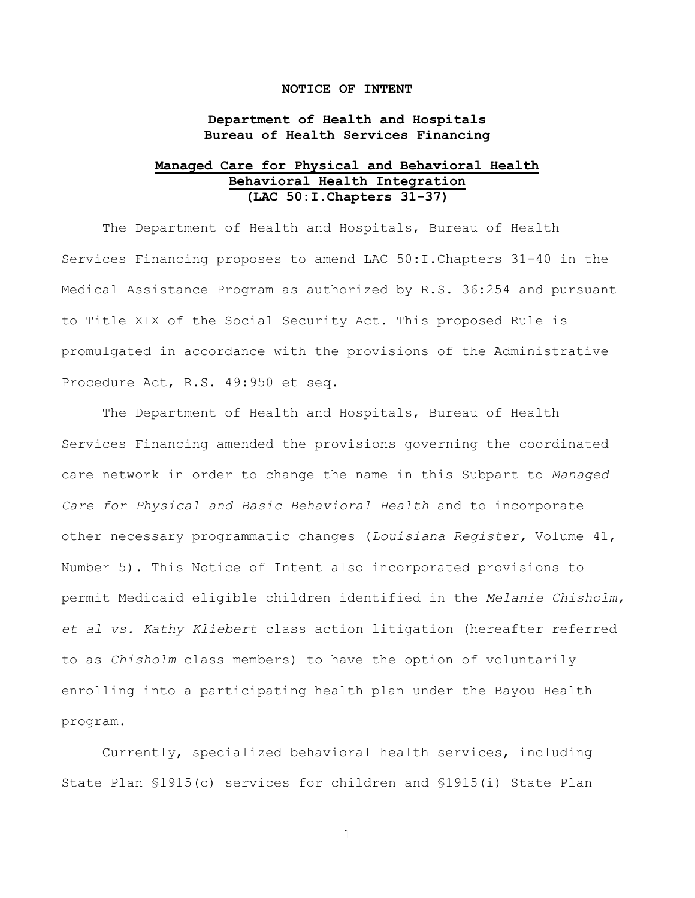#### **NOTICE OF INTENT**

## **Department of Health and Hospitals Bureau of Health Services Financing**

# **Managed Care for Physical and Behavioral Health Behavioral Health Integration (LAC 50:I.Chapters 31-37)**

The Department of Health and Hospitals, Bureau of Health Services Financing proposes to amend LAC 50:I.Chapters 31-40 in the Medical Assistance Program as authorized by R.S. 36:254 and pursuant to Title XIX of the Social Security Act. This proposed Rule is promulgated in accordance with the provisions of the Administrative Procedure Act, R.S. 49:950 et seq.

The Department of Health and Hospitals, Bureau of Health Services Financing amended the provisions governing the coordinated care network in order to change the name in this Subpart to *Managed Care for Physical and Basic Behavioral Health* and to incorporate other necessary programmatic changes (*Louisiana Register,* Volume 41, Number 5). This Notice of Intent also incorporated provisions to permit Medicaid eligible children identified in the *Melanie Chisholm, et al vs. Kathy Kliebert* class action litigation (hereafter referred to as *Chisholm* class members) to have the option of voluntarily enrolling into a participating health plan under the Bayou Health program.

Currently, specialized behavioral health services, including State Plan §1915(c) services for children and §1915(i) State Plan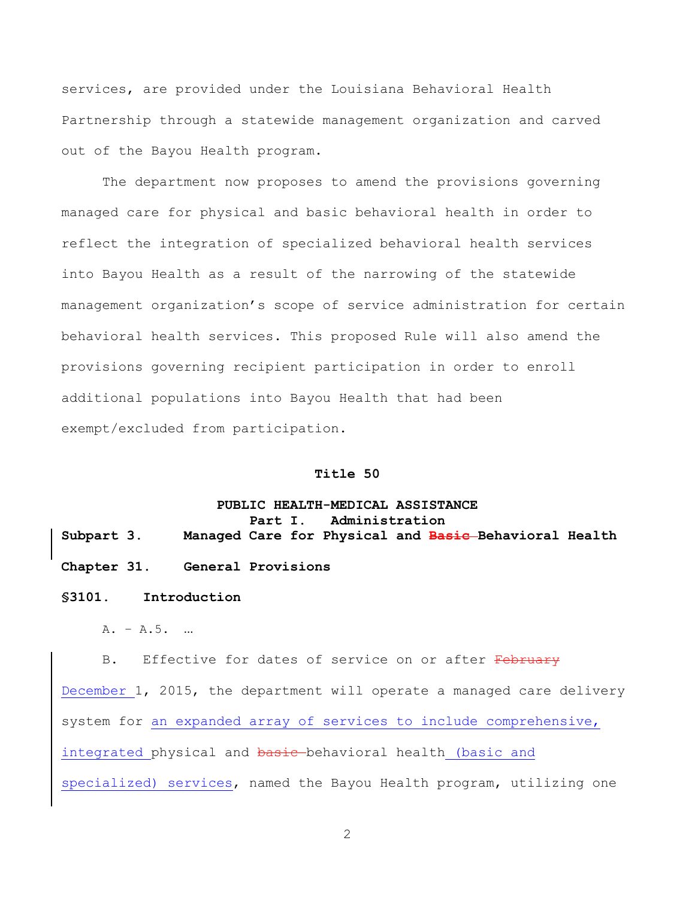services, are provided under the Louisiana Behavioral Health Partnership through a statewide management organization and carved out of the Bayou Health program.

The department now proposes to amend the provisions governing managed care for physical and basic behavioral health in order to reflect the integration of specialized behavioral health services into Bayou Health as a result of the narrowing of the statewide management organization's scope of service administration for certain behavioral health services. This proposed Rule will also amend the provisions governing recipient participation in order to enroll additional populations into Bayou Health that had been exempt/excluded from participation.

## **Title 50**

# **PUBLIC HEALTH-MEDICAL ASSISTANCE Part I. Administration**

**Subpart 3. Managed Care for Physical and Basic Behavioral Health Chapter 31. General Provisions**

#### **§3101. Introduction**

A. – A.5. ...

B. Effective for dates of service on or after February

December 1, 2015, the department will operate a managed care delivery system for an expanded array of services to include comprehensive, integrated physical and basic behavioral health (basic and specialized) services, named the Bayou Health program, utilizing one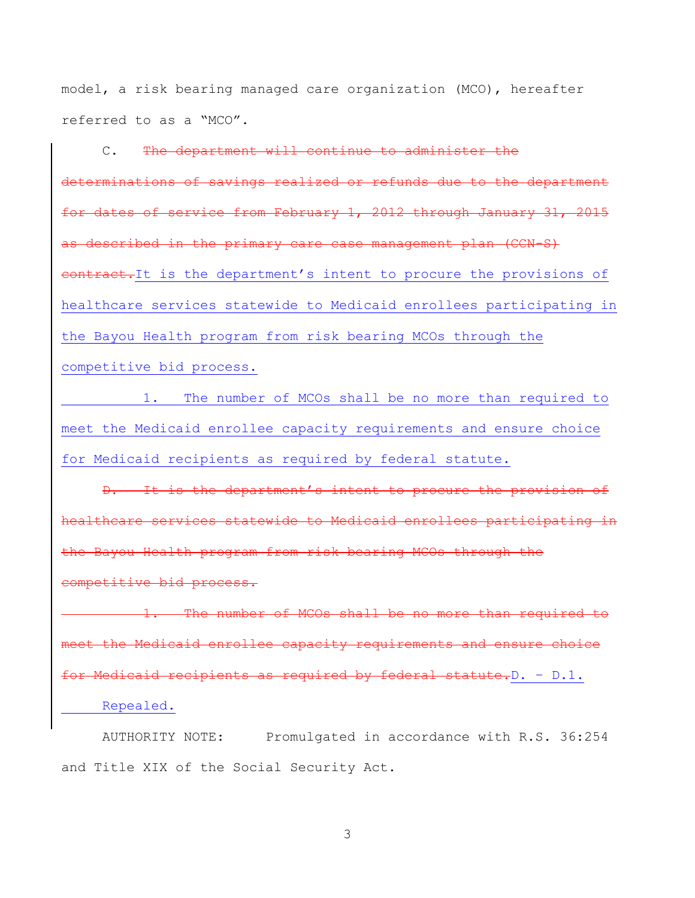model, a risk bearing managed care organization (MCO), hereafter referred to as a "MCO".

C. The department will continue to administer the determinations of savings realized or refunds due to the department for dates of service from February 1, 2012 through January 31, 2015 described in the primary care case management plan (CCN-S) contract.It is the department's intent to procure the provisions of healthcare services statewide to Medicaid enrollees participating in the Bayou Health program from risk bearing MCOs through the competitive bid process.

1. The number of MCOs shall be no more than required to meet the Medicaid enrollee capacity requirements and ensure choice for Medicaid recipients as required by federal statute.

D. It is the department's intent to procure the provision of healthcare services statewide to Medicaid enrollees participating in the Bayou Health program from risk bearing MCOs through the competitive bid process.

1. The number of MCOs shall be no more than required to meet the Medicaid enrollee capacity requirements and ensure choice for Medicaid recipients as required by federal statute.D. – D.1. Repealed.

AUTHORITY NOTE: Promulgated in accordance with R.S. 36:254 and Title XIX of the Social Security Act.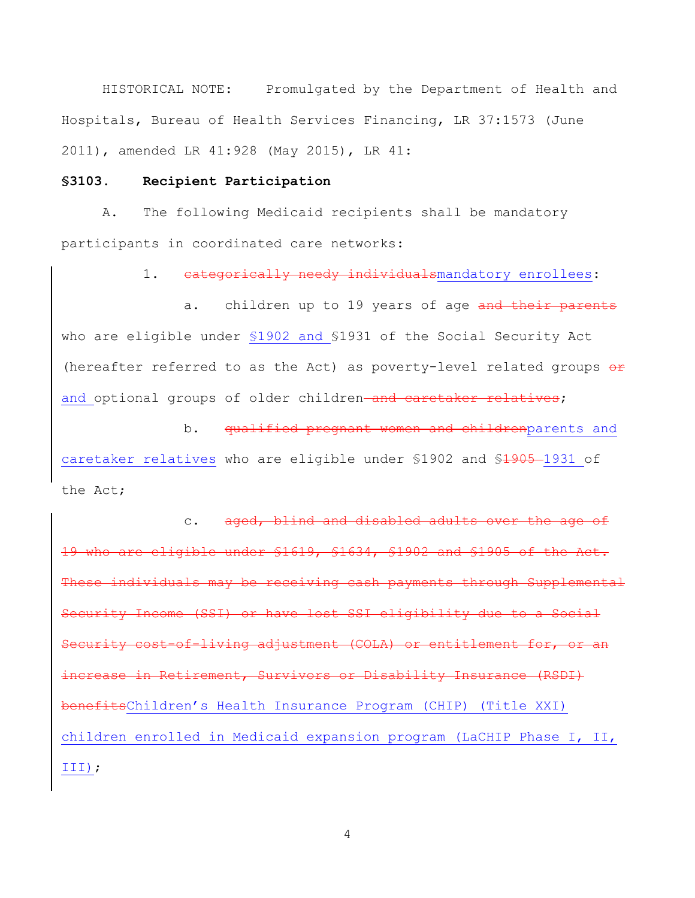HISTORICAL NOTE: Promulgated by the Department of Health and Hospitals, Bureau of Health Services Financing, LR 37:1573 (June 2011), amended LR 41:928 (May 2015), LR 41:

# **§3103. Recipient Participation**

A. The following Medicaid recipients shall be mandatory participants in coordinated care networks:

1. eategorically needy individualsmandatory enrollees:

a. children up to 19 years of age and their parents who are eligible under §1902 and §1931 of the Social Security Act (hereafter referred to as the Act) as poverty-level related groups  $\theta$ and optional groups of older children-and caretaker relatives;

b. qualified pregnant women and childrenparents and caretaker relatives who are eligible under \$1902 and \$<del>1905</del>-1931 of the Act;

c. aged, blind and disabled adults over the age of eligible under \$1619, \$1634, \$1902 and \$1905 of the Act. These individuals may be receiving cash payments through Supplemental Security Income (SSI) or have lost SSI eligibility due to a Social Security cost-of-living adjustment (COLA) or entitlement for, or an increase in Retirement, Survivors or Disability Insurance (RSDI) benefitsChildren's Health Insurance Program (CHIP) (Title XXI) children enrolled in Medicaid expansion program (LaCHIP Phase I, II, III);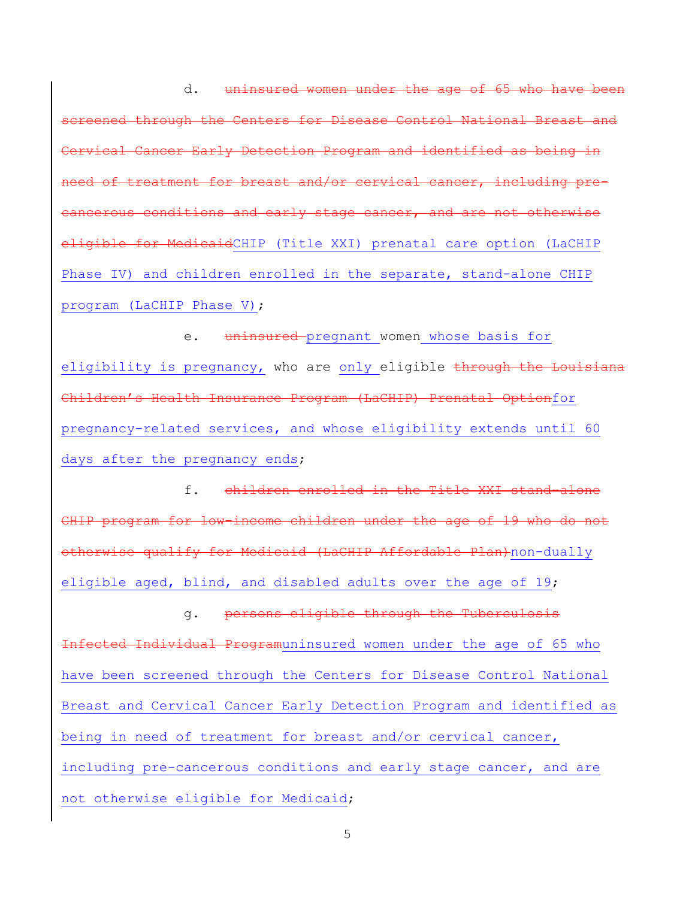d. uninsured women under the age of 65 who have been through the Centers for Disease Control National vical Cancer Early Detection Program and identified as being in need of treatment for breast and/or cervical cancer, including precancerous conditions and early stage cancer, and are not otherwise eligible for MedicaidCHIP (Title XXI) prenatal care option (LaCHIP Phase IV) and children enrolled in the separate, stand-alone CHIP program (LaCHIP Phase V);

e. uninsured pregnant women whose basis for eligibility is pregnancy, who are only eligible through the Louisiana Children's Health Insurance Program (LaCHIP) Prenatal Optionfor pregnancy-related services, and whose eligibility extends until 60 days after the pregnancy ends;

f. children enrolled in the Title XXI stand-alone CHIP program for low-income children under the age of 19 who do not otherwise qualify for Medicaid (LaCHIP Affordable Plan)non-dually eligible aged, blind, and disabled adults over the age of 19;

g. persons eligible through the Tuberculosis Infected Individual Programuninsured women under the age of 65 who have been screened through the Centers for Disease Control National Breast and Cervical Cancer Early Detection Program and identified as being in need of treatment for breast and/or cervical cancer, including pre-cancerous conditions and early stage cancer, and are not otherwise eligible for Medicaid;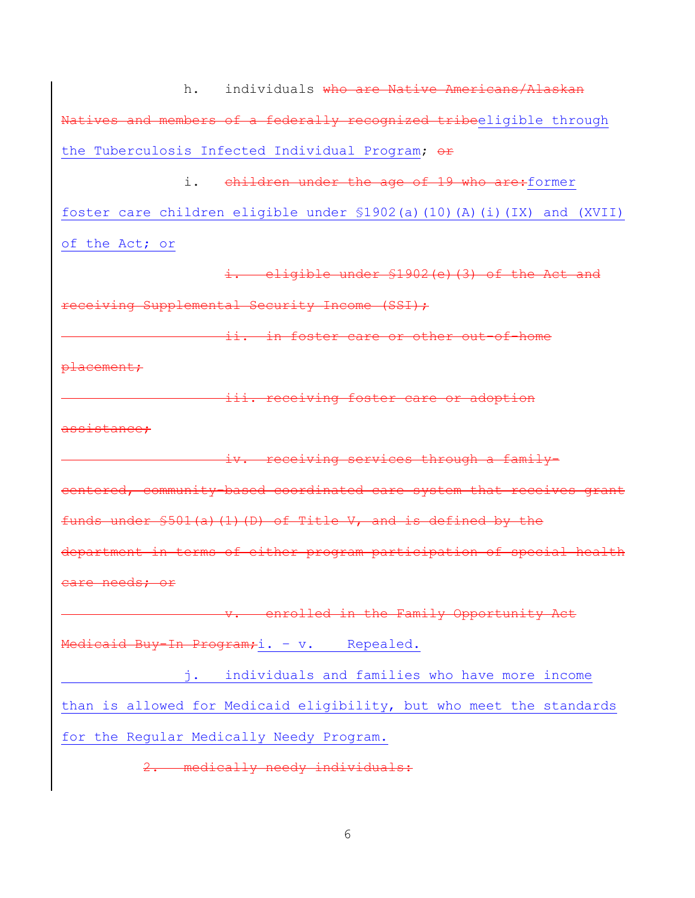h. individuals who are Native Americans/Alaskan Natives and members of a federally recognized tribeeligible through the Tuberculosis Infected Individual Program; or

i. children under the age of 19 who are: former foster care children eligible under §1902(a)(10)(A)(i)(IX) and (XVII) of the Act; or

i. eligible under \$1902(e)(3) of the Act and receiving Supplemental Security Income (SSI);

ii. in foster care or other out-of-home

placement;

iii. receiving foster care or adoption

assistance;

iv. receiving services through a family-

centered, community-based coordinated care system that receives grant

funds under §501(a)(1)(D) of Title V, and is defined by the

department in terms of either program participation of special health care needs; or

v. enrolled in the Family Opportunity Act Medicaid Buy-In Program; i. - v. Repealed.

j. individuals and families who have more income than is allowed for Medicaid eligibility, but who meet the standards for the Regular Medically Needy Program.

2. medically needy individuals: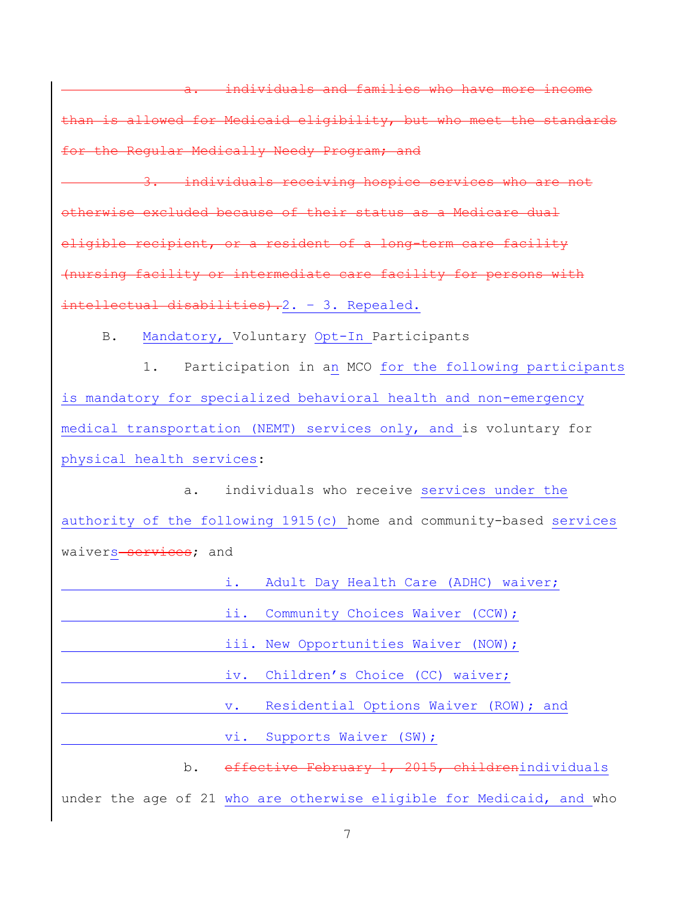|  |                                              |  |  |  |  |  | a. individuals and families who have more income                     |
|--|----------------------------------------------|--|--|--|--|--|----------------------------------------------------------------------|
|  |                                              |  |  |  |  |  | than is allowed for Medicaid eligibility, but who meet the standards |
|  | for the Regular Medically Needy Program; and |  |  |  |  |  |                                                                      |

individuals receiving hospice services who are not otherwise excluded because of their status as a Medicare dual eligible recipient, or a resident of a long-term care facility (nursing facility or intermediate care facility for persons with intellectual disabilities). 2. - 3. Repealed.

B. Mandatory, Voluntary Opt-In Participants

1. Participation in an MCO for the following participants is mandatory for specialized behavioral health and non-emergency medical transportation (NEMT) services only, and is voluntary for physical health services:

a. individuals who receive services under the authority of the following 1915(c) home and community-based services waivers-services; and

i. Adult Day Health Care (ADHC) waiver; ii. Community Choices Waiver (CCW); iii. New Opportunities Waiver (NOW); iv. Children's Choice (CC) waiver; v. Residential Options Waiver (ROW); and vi. Supports Waiver (SW); b. effective February 1, 2015, childrenindividuals under the age of 21 who are otherwise eligible for Medicaid, and who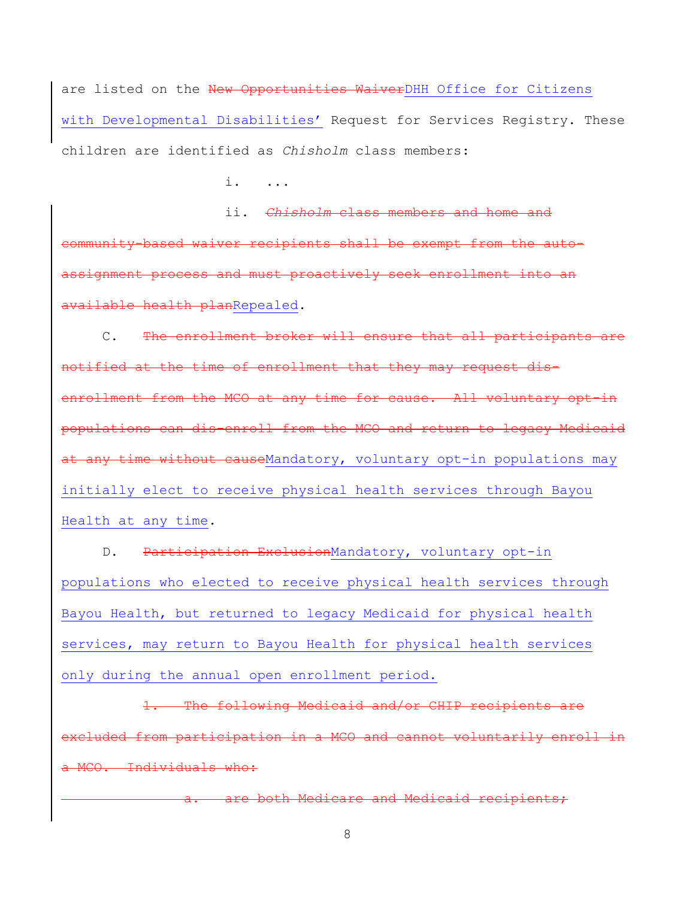are listed on the New Opportunities WaiverDHH Office for Citizens with Developmental Disabilities' Request for Services Registry. These children are identified as *Chisholm* class members:

i. ...

ii. *Chisholm* class members and home and community-based waiver recipients shall be exempt from the autoassignment process and must proactively seek enrollment into an available health planRepealed.

C. The enrollment broker will ensure that all participants notified at the time of enrollment that they may request disenrollment from the MCO at any time for cause. All voluntary opt-in populations can dis-enroll from the MCO and return to legacy Medicaid at any time without causeMandatory, voluntary opt-in populations may initially elect to receive physical health services through Bayou Health at any time.

D. Participation ExclusionMandatory, voluntary opt-in populations who elected to receive physical health services through Bayou Health, but returned to legacy Medicaid for physical health services, may return to Bayou Health for physical health services only during the annual open enrollment period.

The following Medicaid and/or CHIP recipients are from participation in a MCO and cannot voluntarily enroll in MCO. Individuals who:

a. are both Medicare and Medicaid recipients;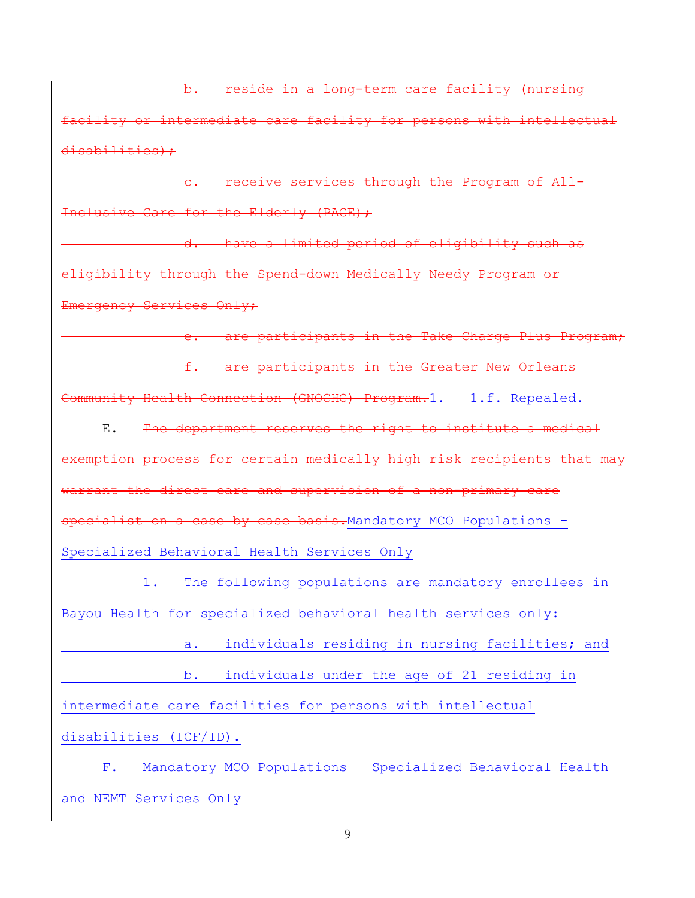b. reside in a long-term care facility (nursing facility or intermediate care facility for persons with intellectual disabilities);

c. receive services through the Program of All-Inclusive Care for the Elderly (PACE);

d. have a limited period of eligibility such as eligibility through the Spend-down Medically Needy Program or Emergency Services Only;

e. are participants in the Take Charge Plus Program; f. are participants in the Greater New Orleans Community Health Connection (GNOCHC) Program.1. – 1.f. Repealed.

E. The department reserves the right to institute a medical exemption process for certain medically high risk recipients that may warrant the direct care and supervision of a non-primary care specialist on a case by case basis. Mandatory MCO Populations -Specialized Behavioral Health Services Only

1. The following populations are mandatory enrollees in Bayou Health for specialized behavioral health services only:

a. individuals residing in nursing facilities; and b. individuals under the age of 21 residing in intermediate care facilities for persons with intellectual disabilities (ICF/ID).

F. Mandatory MCO Populations – Specialized Behavioral Health and NEMT Services Only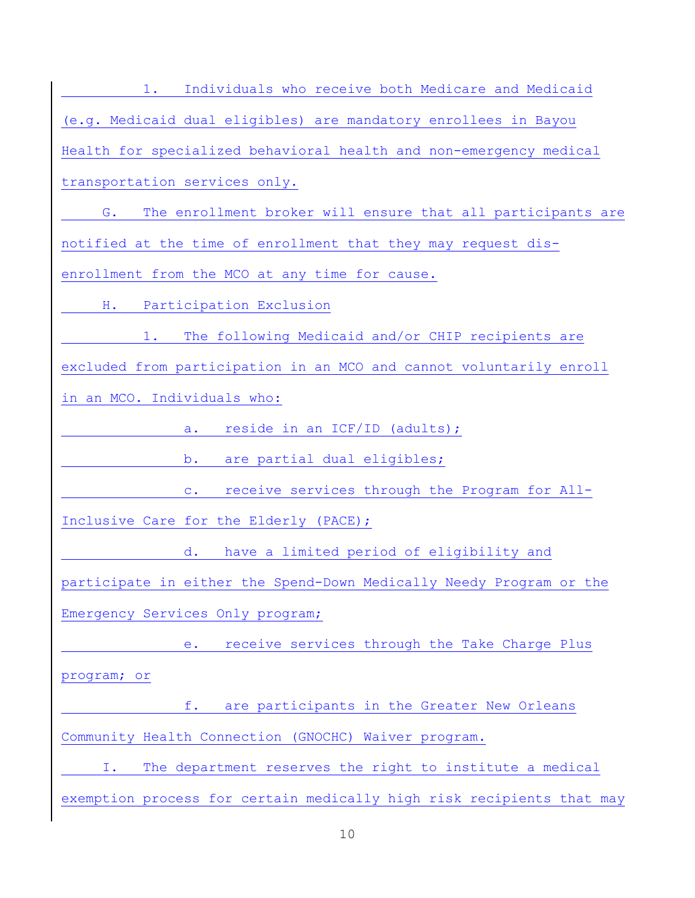| Individuals who receive both Medicare and Medicaid<br>1.              |
|-----------------------------------------------------------------------|
| (e.g. Medicaid dual eligibles) are mandatory enrollees in Bayou       |
| Health for specialized behavioral health and non-emergency medical    |
| transportation services only.                                         |
| The enrollment broker will ensure that all participants are<br>G.     |
| notified at the time of enrollment that they may request dis-         |
| enrollment from the MCO at any time for cause.                        |
| Participation Exclusion<br>Н.                                         |
| The following Medicaid and/or CHIP recipients are<br>1.               |
| excluded from participation in an MCO and cannot voluntarily enroll   |
| in an MCO. Individuals who:                                           |
| reside in an ICF/ID (adults);<br>a.                                   |
| are partial dual eligibles;<br>b.                                     |
| receive services through the Program for All-<br>$\mathsf{C}$ .       |
| Inclusive Care for the Elderly (PACE);                                |
| have a limited period of eligibility and<br>d.                        |
| participate in either the Spend-Down Medically Needy Program or the   |
| Emergency Services Only program;                                      |
| receive services through the Take Charge Plus<br>e.                   |
| program; or                                                           |
| are participants in the Greater New Orleans<br>f.                     |
| Community Health Connection (GNOCHC) Waiver program.                  |
| The department reserves the right to institute a medical<br>Ι.        |
| exemption process for certain medically high risk recipients that may |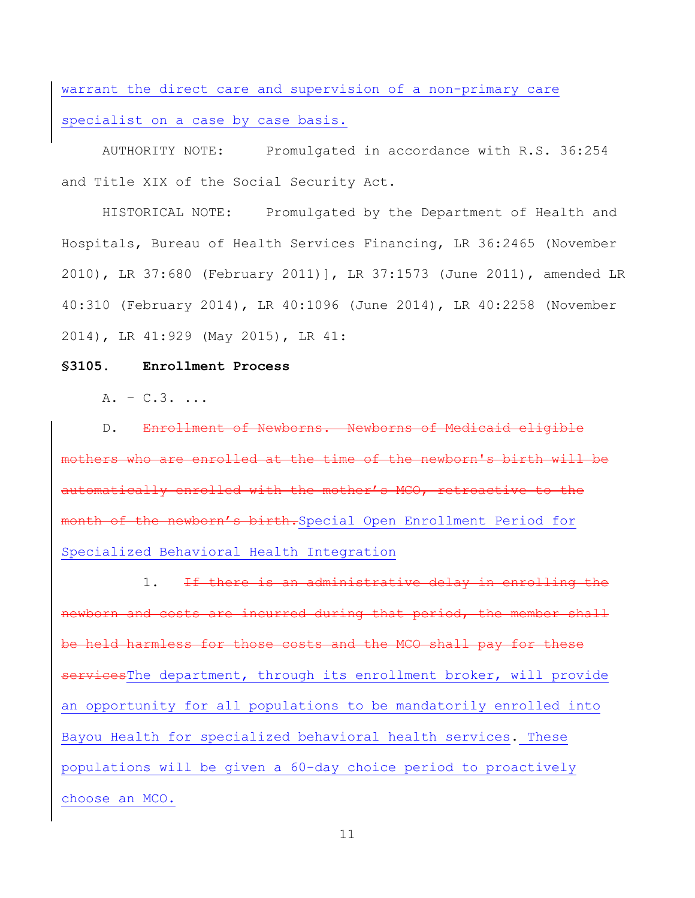warrant the direct care and supervision of a non-primary care specialist on a case by case basis.

AUTHORITY NOTE: Promulgated in accordance with R.S. 36:254 and Title XIX of the Social Security Act.

HISTORICAL NOTE: Promulgated by the Department of Health and Hospitals, Bureau of Health Services Financing, LR 36:2465 (November 2010), LR 37:680 (February 2011)], LR 37:1573 (June 2011), amended LR 40:310 (February 2014), LR 40:1096 (June 2014), LR 40:2258 (November 2014), LR 41:929 (May 2015), LR 41:

#### **§3105. Enrollment Process**

 $A = C.3...$ 

D. Enrollment of Newborns**.** Newborns of Medicaid eligible mothers who are enrolled at the time of the newborn's birth will be automatically enrolled with the mother's MCO, retroactive to the month of the newborn's birth. Special Open Enrollment Period for Specialized Behavioral Health Integration

1. If there is an administrative delay in enrolling the costs are incurred during that period, the member shall harmless for those costs and the MCO shall pay for these servicesThe department, through its enrollment broker, will provide an opportunity for all populations to be mandatorily enrolled into Bayou Health for specialized behavioral health services. These populations will be given a 60-day choice period to proactively choose an MCO.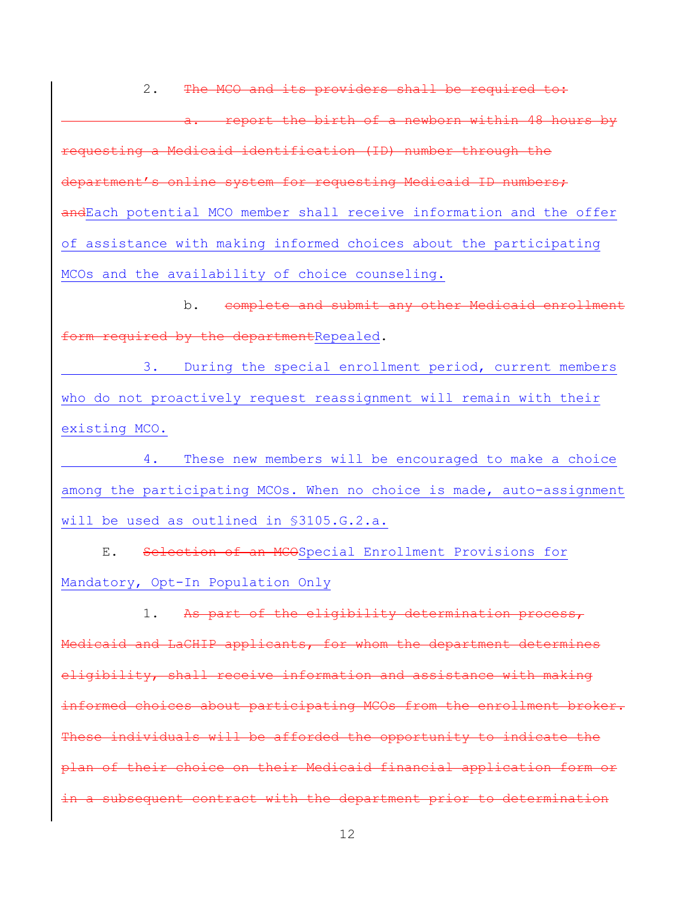2. The MCO and its providers shall be required to: a. report the birth of a newborn within 48 hours by requesting a Medicaid identification (ID) number through the department's online system for requesting Medicaid ID numbers; andEach potential MCO member shall receive information and the offer of assistance with making informed choices about the participating MCOs and the availability of choice counseling.

b. complete and submit any other Medicaid enrollment form required by the departmentRepealed.

3. During the special enrollment period, current members who do not proactively request reassignment will remain with their existing MCO.

4. These new members will be encouraged to make a choice among the participating MCOs. When no choice is made, auto-assignment will be used as outlined in §3105.G.2.a.

E. Selection of an MCOSpecial Enrollment Provisions for Mandatory, Opt-In Population Only

1. As part of the eligibility determination process, Medicaid and LaCHIP applicants, for whom the department determines eligibility, shall receive information and assistance with making informed choices about participating MCOs from the enrollment broker. These individuals will be afforded the opportunity to indicate the plan of their choice on their Medicaid financial application form or a subsequent contract with the department prior to determination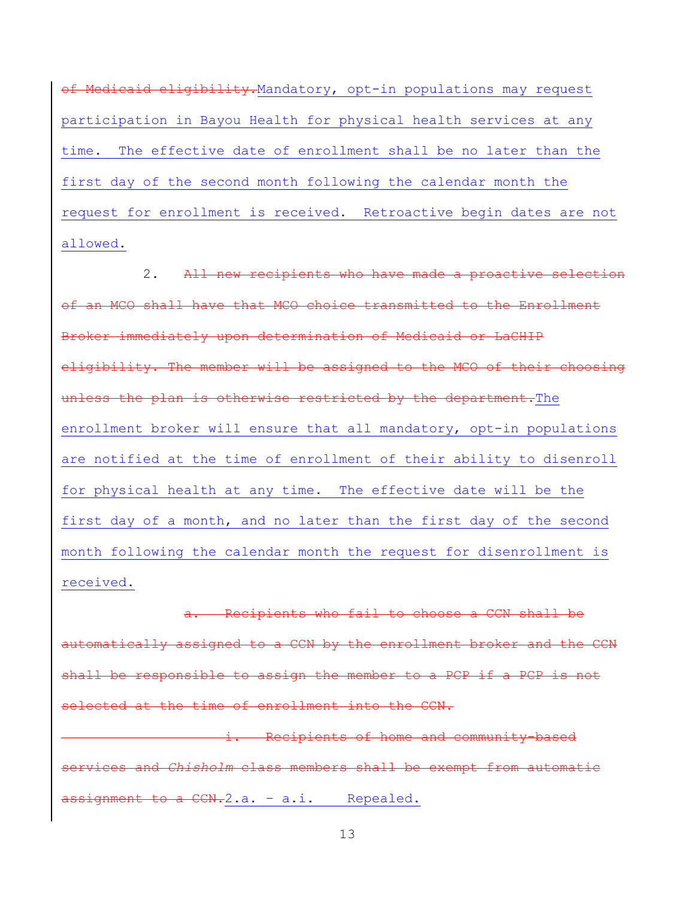of Medicaid eligibility.Mandatory, opt-in populations may request participation in Bayou Health for physical health services at any time. The effective date of enrollment shall be no later than the first day of the second month following the calendar month the request for enrollment is received. Retroactive begin dates are not allowed.

2. All new recipients who have made a proactive selection an MCO shall have that MCO choice transmitted to the Enrollment Broker immediately upon determination of Medicaid or LaCHIP eligibility. The member will be assigned to the MCO of their choosing unless the plan is otherwise restricted by the department. The enrollment broker will ensure that all mandatory, opt-in populations are notified at the time of enrollment of their ability to disenroll for physical health at any time. The effective date will be the first day of a month, and no later than the first day of the second month following the calendar month the request for disenrollment is received.

Recipients who fail to choose a CCN shall be automatically assigned to a CCN by the enrollment broker and the shall be responsible to assign the member to a PCP if a PCP is not selected at the time of enrollment into the CCN.

**Recipients of home and community-based** Chisholm class members shall be exempt from automati assignment to a CCN.2.a. - a.i. Repealed.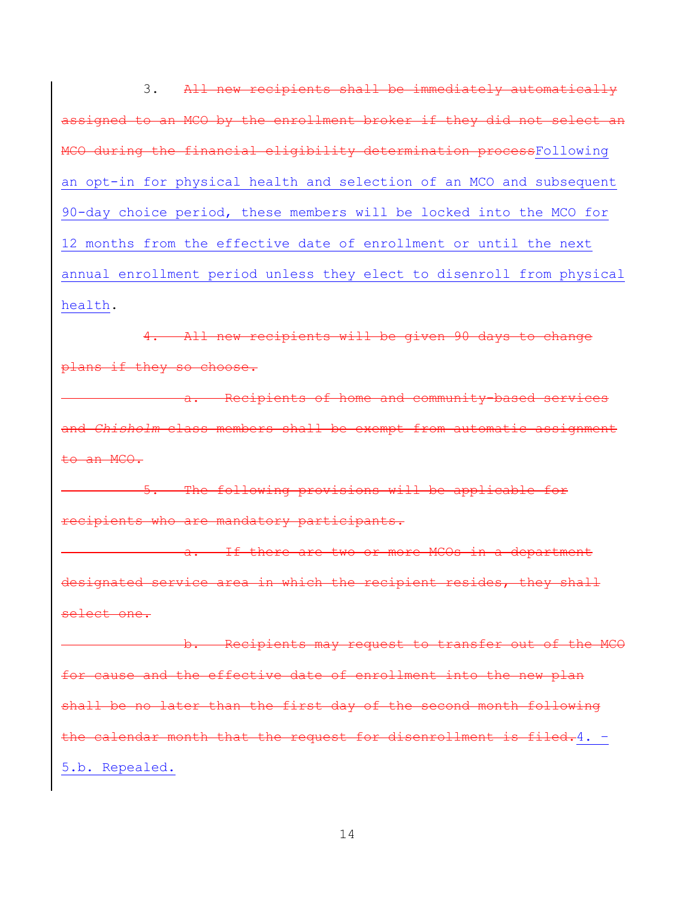3. All new recipients shall be immediately automatically assigned to an MCO by the enrollment broker if they did not select an MCO during the financial eligibility determination processFollowing an opt-in for physical health and selection of an MCO and subsequent 90-day choice period, these members will be locked into the MCO for 12 months from the effective date of enrollment or until the next annual enrollment period unless they elect to disenroll from physical health.

4. All new recipients will be given 90 days to change plans if they so choose. a. Recipients of home and community-based services and *Chisholm* class members shall be exempt from automatic assignment to an MCO. 5. The following provisions will be applicable for recipients who are mandatory participants. a. If there are two or more MCOs in a department designated service area in which the recipient resides, they shall select one. b. Recipients may request to transfer out of the MCO for cause and the effective date of enrollment into the new plan shall be no later than the first day of the second month following the calendar month that the request for disenrollment is filed.4. -5.b. Repealed.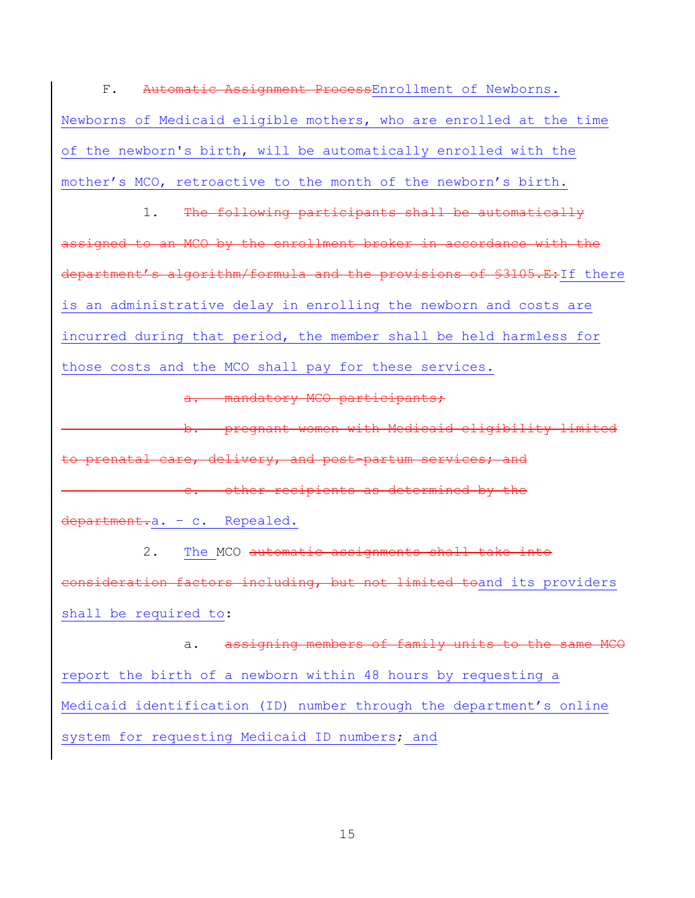F. Automatic Assignment ProcessEnrollment of Newborns. Newborns of Medicaid eligible mothers, who are enrolled at the time of the newborn's birth, will be automatically enrolled with the mother's MCO, retroactive to the month of the newborn's birth.

1. The following participants shall be automatically assigned to an MCO by the enrollment broker in accordance with the department's algorithm/formula and the provisions of §3105.E:If there is an administrative delay in enrolling the newborn and costs are incurred during that period, the member shall be held harmless for those costs and the MCO shall pay for these services.

a. mandatory MCO participants;

b. pregnant women with Medicaid eligibility limited to prenatal care, delivery, and post-partum services; and c. other recipients as determined by the

department.a. - c. Repealed.

2. The MCO automatic assignments shall take into consideration factors including, but not limited toand its providers shall be required to:

a. assigning members of family units to the same MCO report the birth of a newborn within 48 hours by requesting a Medicaid identification (ID) number through the department's online system for requesting Medicaid ID numbers; and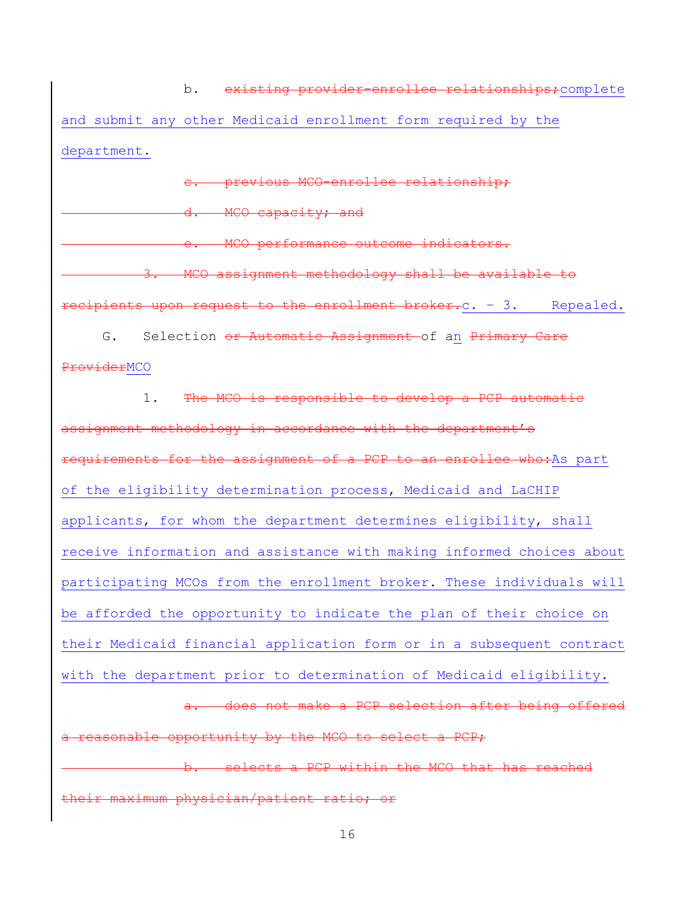b. existing provider-enrollee relationships; complete and submit any other Medicaid enrollment form required by the department.

previous MCO-enrollee relationship;

d. MCO capacity; and

MCO performance outcome indicators.

3. MCO assignment methodology shall be available to recipients upon request to the enrollment broker.c. - 3. Repealed.

G. Selection or Automatic Assignment of an Primary Care ProviderMCO

1. The MCO is responsible to develop a PCP automatic assignment methodology in accordance with the department's requirements for the assignment of a PCP to an enrollee who: As part of the eligibility determination process, Medicaid and LaCHIP applicants, for whom the department determines eligibility, shall receive information and assistance with making informed choices about participating MCOs from the enrollment broker. These individuals will be afforded the opportunity to indicate the plan of their choice on their Medicaid financial application form or in a subsequent contract with the department prior to determination of Medicaid eligibility.

does not make a PCP selection after being offered reasonable opportunity by the MCO to select a PCP;

selects a PCP within the MCO that has reache their maximum physician/patient ratio; or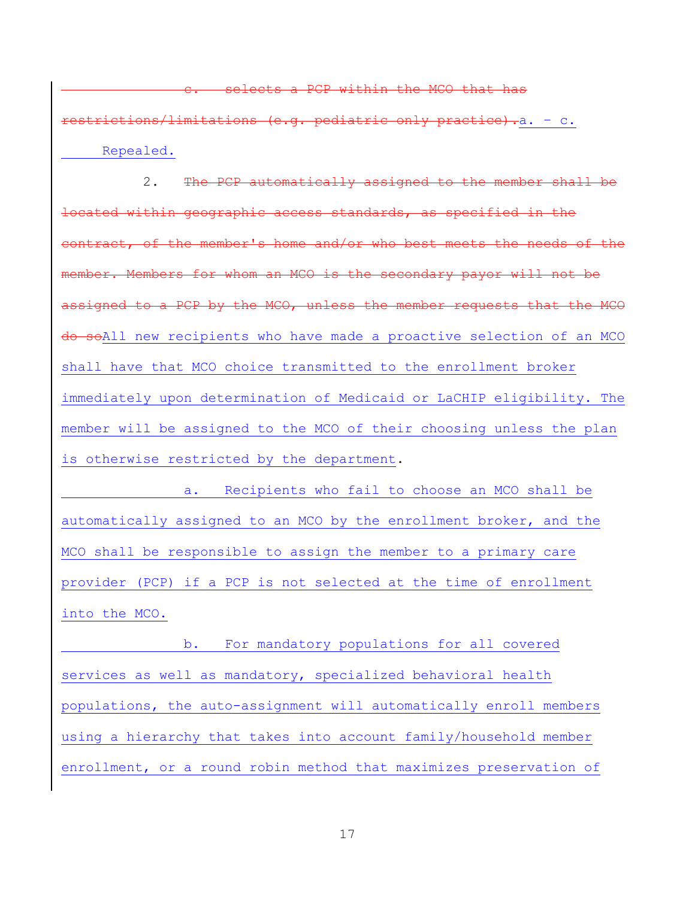selects a PCP within the MCO that has ions/limitations (e.g. pediatric only practice).a. - c. Repealed.

2. The PCP automatically assigned to the member shall be located within geographic access standards, as specified in the contract, of the member's home and/or who best meets the needs of member. Members for whom an MCO is the secondary payor will not be assigned to a PCP by the MCO, unless the member requests that the MCO do soAll new recipients who have made a proactive selection of an MCO shall have that MCO choice transmitted to the enrollment broker immediately upon determination of Medicaid or LaCHIP eligibility. The member will be assigned to the MCO of their choosing unless the plan is otherwise restricted by the department.

a. Recipients who fail to choose an MCO shall be automatically assigned to an MCO by the enrollment broker, and the MCO shall be responsible to assign the member to a primary care provider (PCP) if a PCP is not selected at the time of enrollment into the MCO.

b. For mandatory populations for all covered services as well as mandatory, specialized behavioral health populations, the auto-assignment will automatically enroll members using a hierarchy that takes into account family/household member enrollment, or a round robin method that maximizes preservation of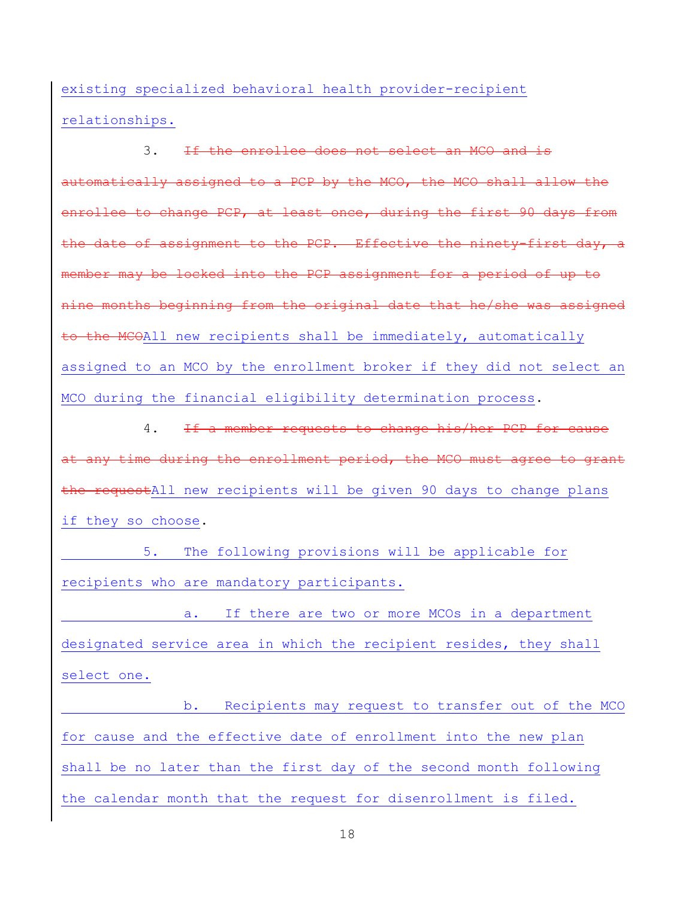existing specialized behavioral health provider-recipient relationships.

3. If the enrollee does not select an MCO and is automatically assigned to a PCP by the MCO, the MCO shall allow the enrollee to change PCP, at least once, during the first 90 days from the date of assignment to the PCP. Effective the ninety-first day, member may be locked into the PCP assignment for a period of up to nine months beginning from the original date that he/she was assigned to the MCOAll new recipients shall be immediately, automatically assigned to an MCO by the enrollment broker if they did not select an MCO during the financial eligibility determination process.

4. If a member requests to change his/her PCP for cause at any time during the enrollment period, the MCO must agree to grant the requestAll new recipients will be given 90 days to change plans if they so choose.

5. The following provisions will be applicable for recipients who are mandatory participants.

a. If there are two or more MCOs in a department designated service area in which the recipient resides, they shall select one.

b. Recipients may request to transfer out of the MCO for cause and the effective date of enrollment into the new plan shall be no later than the first day of the second month following the calendar month that the request for disenrollment is filed.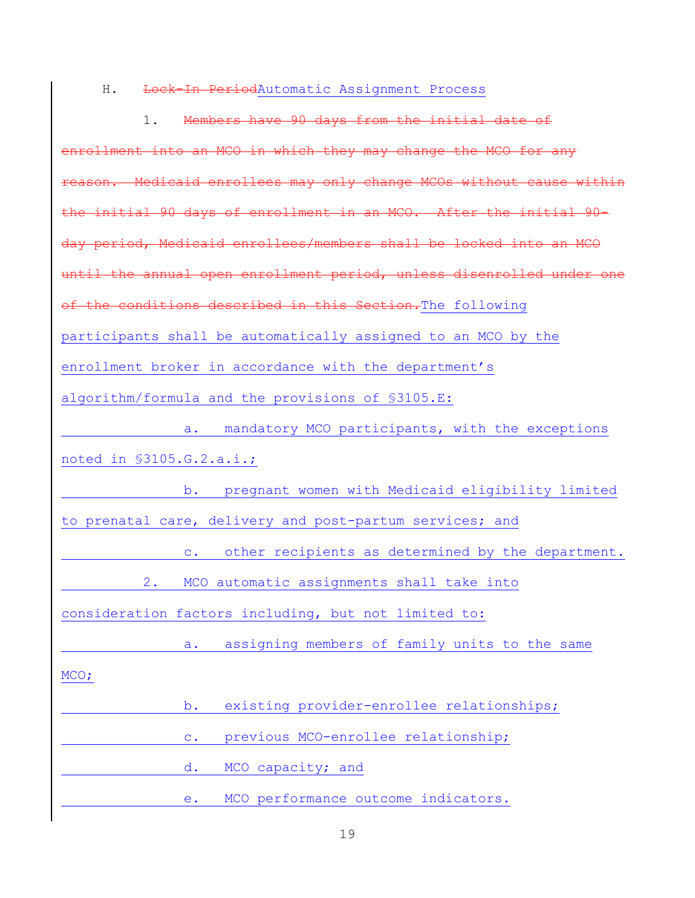# H. <del>Lock-In Period</del>Automatic Assignment Process

| Members have 90 days from the initial date of<br>1.                   |
|-----------------------------------------------------------------------|
| enrollment into an MCO in which they may change the MCO for any       |
| reason. Medicaid enrollees may only change MCOs without cause within  |
| the initial 90 days of enrollment in an MCO. After the initial 90-    |
| day period, Medicaid enrollees/members shall be locked into an MCO    |
| until the annual open enrollment period, unless disenrolled under one |
| of the conditions described in this Section. The following            |
| participants shall be automatically assigned to an MCO by the         |
| enrollment broker in accordance with the department's                 |
| algorithm/formula and the provisions of \$3105.E:                     |
| mandatory MCO participants, with the exceptions<br>a.                 |
| noted in $$3105.G.2.a.i.$                                             |
| b. pregnant women with Medicaid eligibility limited                   |
| to prenatal care, delivery and post-partum services; and              |
| other recipients as determined by the department.<br>$\mathtt{C}$ .   |
| 2. MCO automatic assignments shall take into                          |
| consideration factors including, but not limited to:                  |
| assigning members of family units to the same<br>a.                   |
| MCO;                                                                  |
| existing provider-enrollee relationships;<br>$b$ .                    |
| previous MCO-enrollee relationship;<br>$\mathtt{C}$ .                 |
| MCO capacity; and<br>d.                                               |
| MCO performance outcome indicators.<br>e.                             |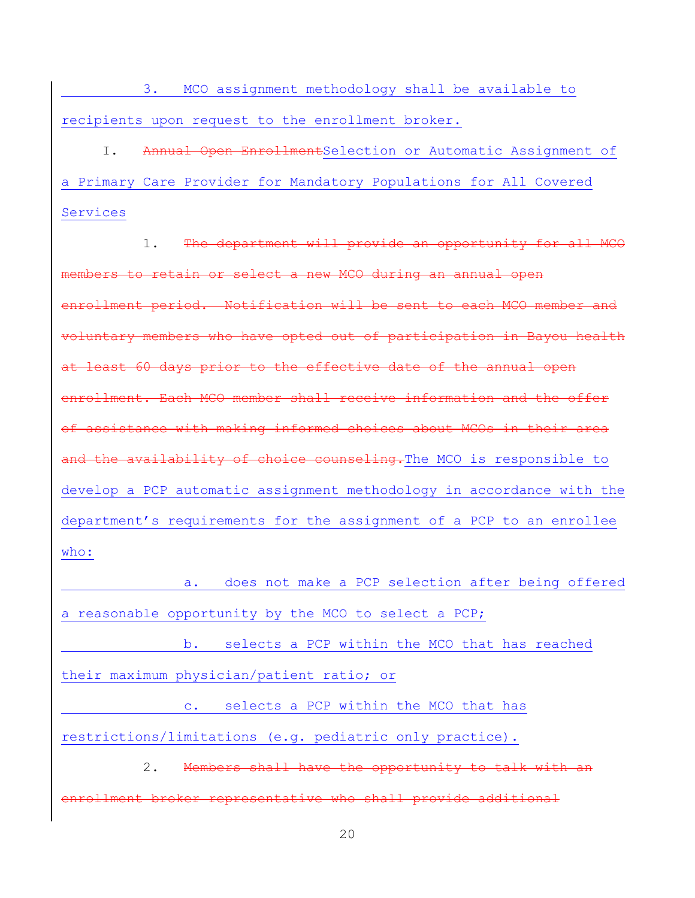3. MCO assignment methodology shall be available to recipients upon request to the enrollment broker.

I. Annual Open EnrollmentSelection or Automatic Assignment of a Primary Care Provider for Mandatory Populations for All Covered Services

1. The department will provide an opportunity for all MCO members to retain or select a new MCO during an annual open enrollment period. Notification will be sent to each MCO member and voluntary members who have opted out of participation in Bayou health at least 60 days prior to the effective date of the annual open enrollment. Each MCO member shall receive information and the offer of assistance with making informed choices about MCOs in their area and the availability of choice counseling. The MCO is responsible to develop a PCP automatic assignment methodology in accordance with the department's requirements for the assignment of a PCP to an enrollee who:

a. does not make a PCP selection after being offered a reasonable opportunity by the MCO to select a PCP;

b. selects a PCP within the MCO that has reached their maximum physician/patient ratio; or

c. selects a PCP within the MCO that has restrictions/limitations (e.g. pediatric only practice).

2. Members shall have the opportunity to talk with an enrollment broker representative who shall provide additional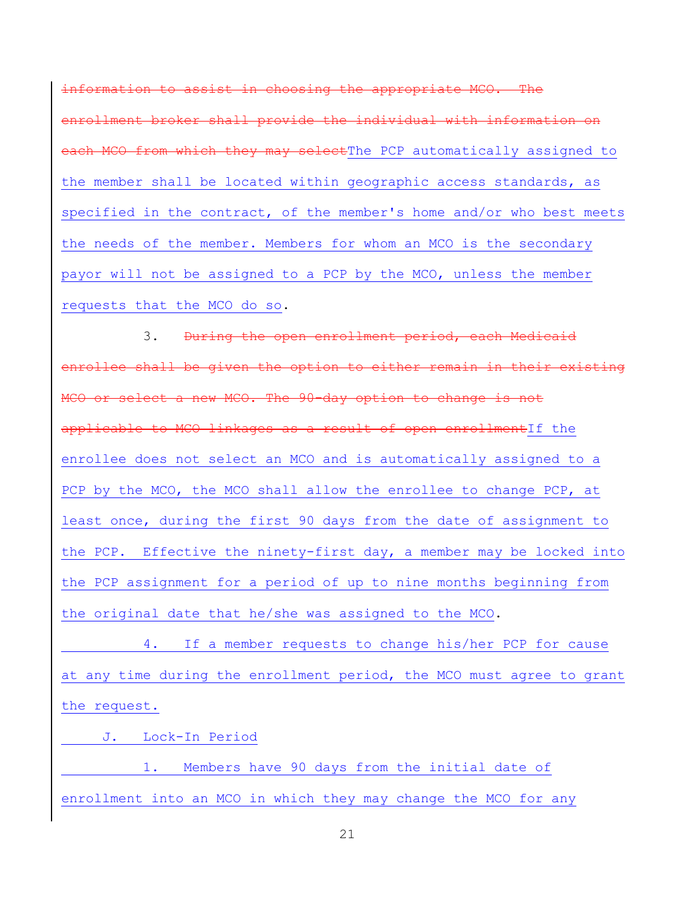information to assist in choosing the appropriate MCO. The enrollment broker shall provide the individual with information ach MCO from which they may select The PCP automatically assigned to the member shall be located within geographic access standards, as specified in the contract, of the member's home and/or who best meets the needs of the member. Members for whom an MCO is the secondary payor will not be assigned to a PCP by the MCO, unless the member requests that the MCO do so.

3. During the open enrollment period, each Medicaid enrollee shall be given the option to either remain in their existing MCO or select a new MCO. The 90-day option to change is not applicable to MCO linkages as a result of open enrollmentIf the enrollee does not select an MCO and is automatically assigned to a PCP by the MCO, the MCO shall allow the enrollee to change PCP, at least once, during the first 90 days from the date of assignment to the PCP. Effective the ninety-first day, a member may be locked into the PCP assignment for a period of up to nine months beginning from the original date that he/she was assigned to the MCO.

4. If a member requests to change his/her PCP for cause at any time during the enrollment period, the MCO must agree to grant the request.

J. Lock-In Period

1. Members have 90 days from the initial date of enrollment into an MCO in which they may change the MCO for any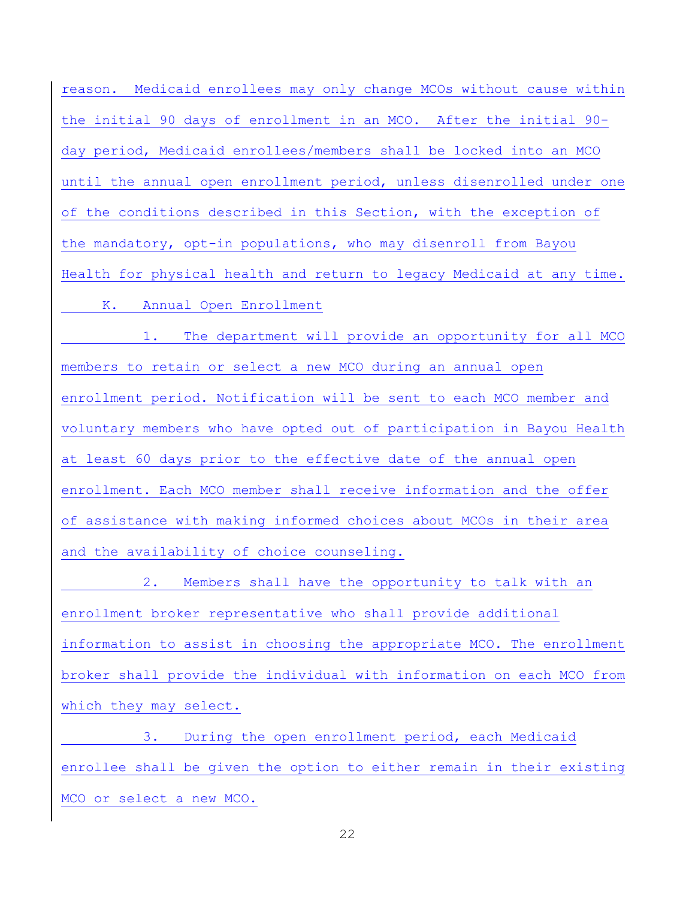reason. Medicaid enrollees may only change MCOs without cause within the initial 90 days of enrollment in an MCO. After the initial 90 day period, Medicaid enrollees/members shall be locked into an MCO until the annual open enrollment period, unless disenrolled under one of the conditions described in this Section, with the exception of the mandatory, opt-in populations, who may disenroll from Bayou Health for physical health and return to legacy Medicaid at any time. K. Annual Open Enrollment

1. The department will provide an opportunity for all MCO members to retain or select a new MCO during an annual open enrollment period. Notification will be sent to each MCO member and voluntary members who have opted out of participation in Bayou Health at least 60 days prior to the effective date of the annual open enrollment. Each MCO member shall receive information and the offer of assistance with making informed choices about MCOs in their area and the availability of choice counseling.

2. Members shall have the opportunity to talk with an enrollment broker representative who shall provide additional information to assist in choosing the appropriate MCO. The enrollment broker shall provide the individual with information on each MCO from which they may select.

3. During the open enrollment period, each Medicaid enrollee shall be given the option to either remain in their existing MCO or select a new MCO.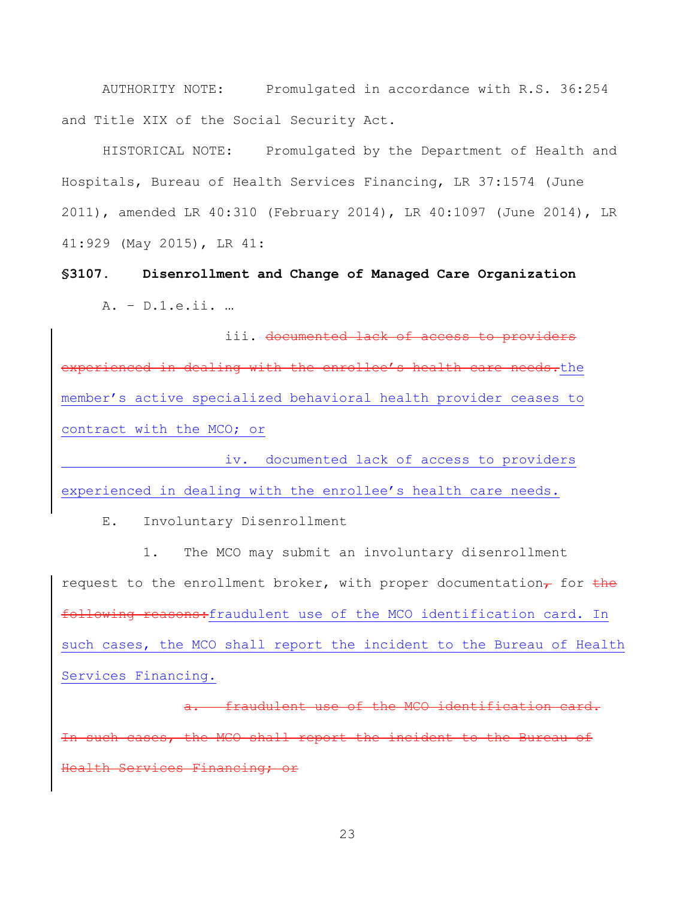AUTHORITY NOTE: Promulgated in accordance with R.S. 36:254 and Title XIX of the Social Security Act.

HISTORICAL NOTE: Promulgated by the Department of Health and Hospitals, Bureau of Health Services Financing, LR 37:1574 (June 2011), amended LR 40:310 (February 2014), LR 40:1097 (June 2014), LR 41:929 (May 2015), LR 41:

**§3107. Disenrollment and Change of Managed Care Organization**  A. – D.1.e.ii. ...

iii. documented lack of access to providers experienced in dealing with the enrollee's health care needs.the member's active specialized behavioral health provider ceases to contract with the MCO; or

iv. documented lack of access to providers experienced in dealing with the enrollee's health care needs.

E. Involuntary Disenrollment

1. The MCO may submit an involuntary disenrollment request to the enrollment broker, with proper documentation $_{\mathcal{T}}$  for the following reasons: fraudulent use of the MCO identification card. In such cases, the MCO shall report the incident to the Bureau of Health Services Financing.

fraudulent use of the MCO identification card. the MCO shall report the incident alth Services Financing; or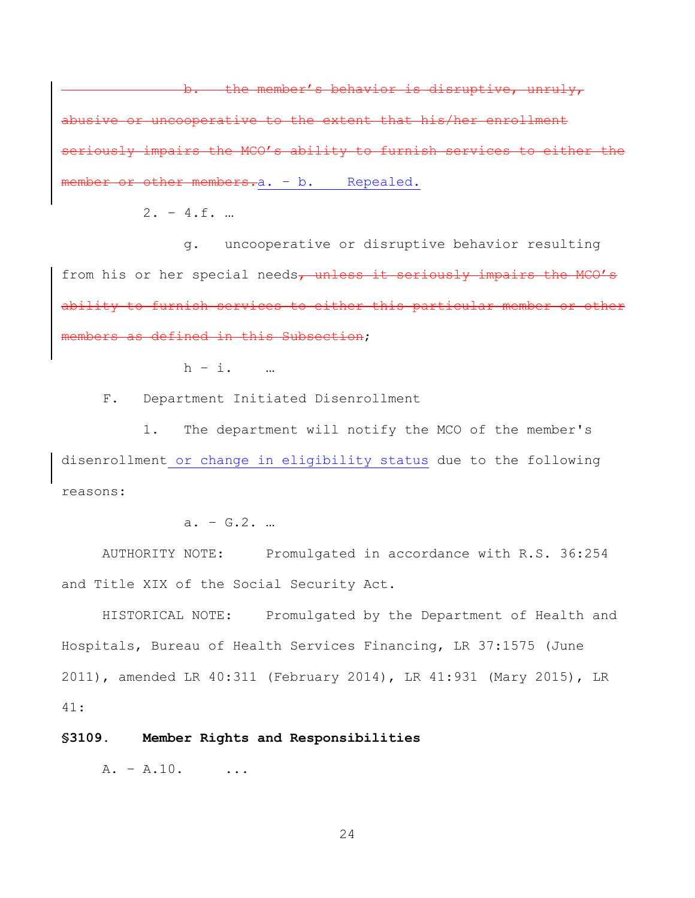b. the member's behavior is disruptive, unruly, ooperative to the extent that MCO's ability to furnish other members.a. - b. Repealed.

 $2. - 4.f. ...$ 

g. uncooperative or disruptive behavior resulting from his or her special needs, unless it seriously impairs the MCO's furnish services to either this particular member defined in this Subsection;

 $h - i.$  ...

F. Department Initiated Disenrollment

1. The department will notify the MCO of the member's disenrollment or change in eligibility status due to the following reasons:

a. – G.2. ...

AUTHORITY NOTE: Promulgated in accordance with R.S. 36:254 and Title XIX of the Social Security Act.

HISTORICAL NOTE: Promulgated by the Department of Health and Hospitals, Bureau of Health Services Financing, LR 37:1575 (June 2011), amended LR 40:311 (February 2014), LR 41:931 (Mary 2015), LR 41:

# **§3109. Member Rights and Responsibilities**

 $A = A.10.$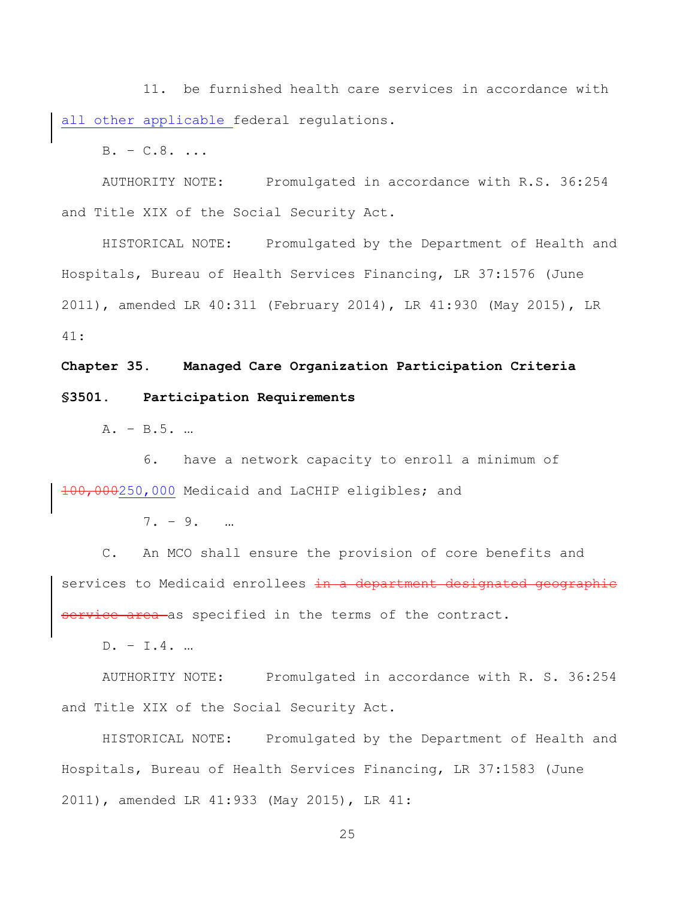11. be furnished health care services in accordance with all other applicable federal regulations.

 $B. - C.8. ...$ 

AUTHORITY NOTE: Promulgated in accordance with R.S. 36:254 and Title XIX of the Social Security Act.

HISTORICAL NOTE: Promulgated by the Department of Health and Hospitals, Bureau of Health Services Financing, LR 37:1576 (June 2011), amended LR 40:311 (February 2014), LR 41:930 (May 2015), LR 41:

# **Chapter 35. Managed Care Organization Participation Criteria §3501. Participation Requirements**

A. – B.5. ...

6. have a network capacity to enroll a minimum of 100,000250,000 Medicaid and LaCHIP eligibles; and

 $7. - 9.$  ...

C. An MCO shall ensure the provision of core benefits and services to Medicaid enrollees in a department designated geographic service area as specified in the terms of the contract.

 $D. - I.4. ...$ 

AUTHORITY NOTE: Promulgated in accordance with R. S. 36:254 and Title XIX of the Social Security Act.

HISTORICAL NOTE: Promulgated by the Department of Health and Hospitals, Bureau of Health Services Financing, LR 37:1583 (June 2011), amended LR 41:933 (May 2015), LR 41: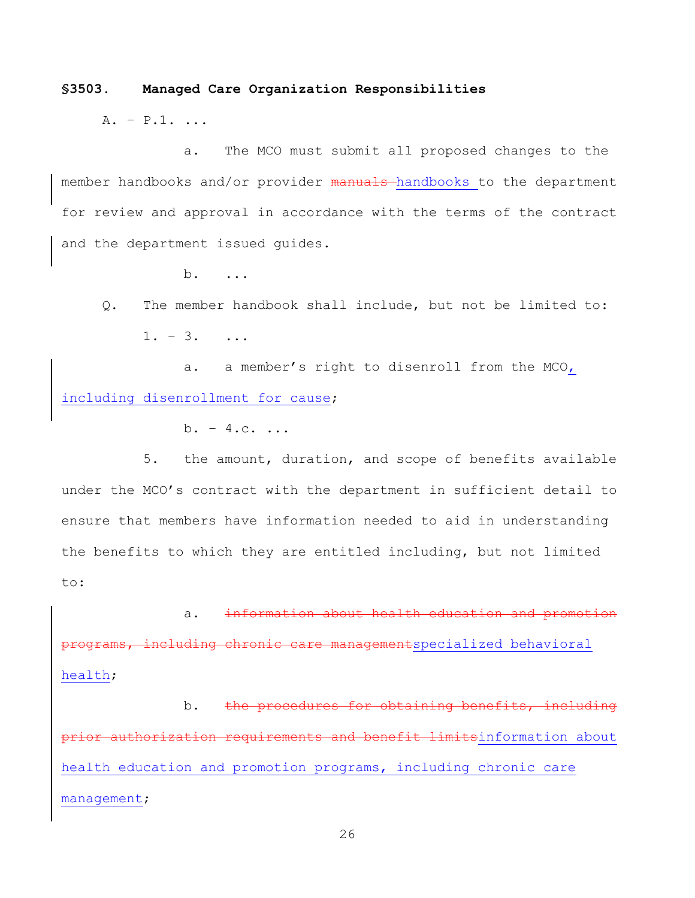#### **§3503. Managed Care Organization Responsibilities**

A. – P.1. ...

a. The MCO must submit all proposed changes to the member handbooks and/or provider manuals handbooks to the department for review and approval in accordance with the terms of the contract and the department issued guides.

b. ...

Q. The member handbook shall include, but not be limited to:  $1. - 3. ...$ 

a. a member's right to disenroll from the MCO, including disenrollment for cause;

 $b. - 4.c.$ ...

5. the amount, duration, and scope of benefits available under the MCO's contract with the department in sufficient detail to ensure that members have information needed to aid in understanding the benefits to which they are entitled including, but not limited to:

a. information about health education and promotion programs, including chronic care managementspecialized behavioral health;

b. the procedures for obtaining benefits, including prior authorization requirements and benefit limitsinformation about health education and promotion programs, including chronic care management;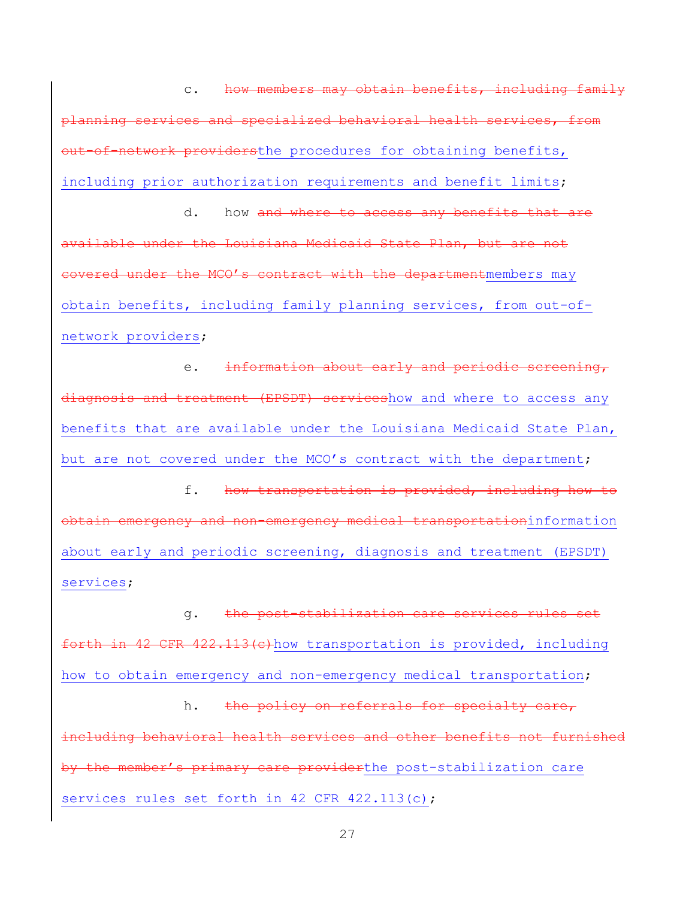c. how members may obtain benefits, including family planning services and specialized behavioral health services, of-network providersthe procedures for obtaining benefits, including prior authorization requirements and benefit limits;

d. how and where to access any benefits that are under the Louisiana Medicaid State Plan, but are not covered under the MCO's contract with the departmentmembers may obtain benefits, including family planning services, from out-ofnetwork providers;

e. information about early and periodic screening, diagnosis and treatment (EPSDT) serviceshow and where to access any benefits that are available under the Louisiana Medicaid State Plan, but are not covered under the MCO's contract with the department;

f. how transportation is provided, including how to obtain emergency and non-emergency medical transportationinformation about early and periodic screening, diagnosis and treatment (EPSDT) services;

g. the post-stabilization care services rules set forth in 42 CFR 422.113(c)how transportation is provided, including how to obtain emergency and non-emergency medical transportation;

h. the policy on referrals for specialty care, behavioral health services and other benefits not furnished the member's primary care providerthe post-stabilization care services rules set forth in 42 CFR 422.113(c);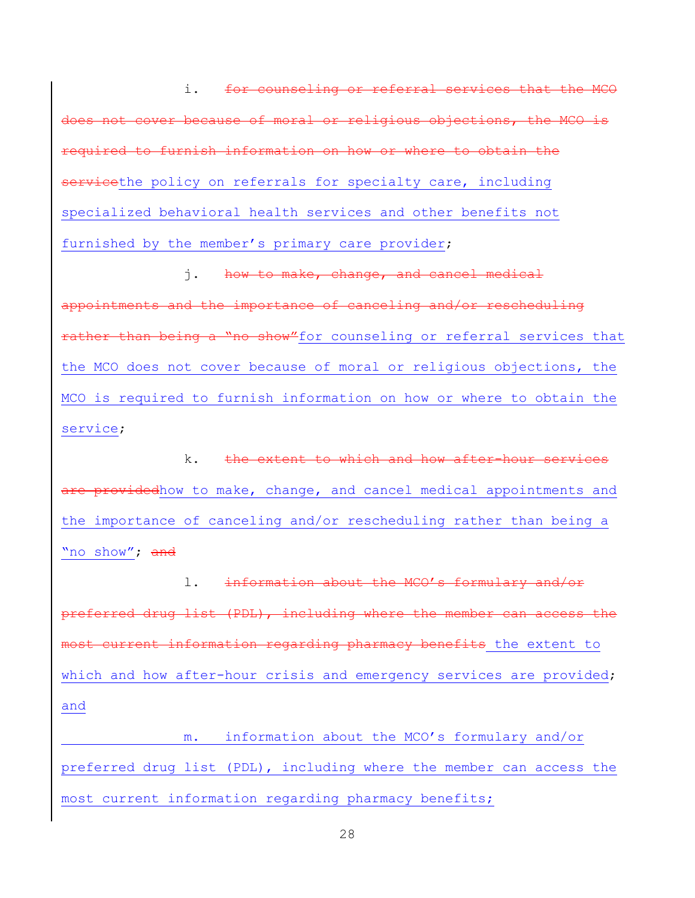i. for counseling or referral services that the MCO over because of moral or religious objections, the MCO is information on how or where to obtain servicethe policy on referrals for specialty care, including specialized behavioral health services and other benefits not furnished by the member's primary care provider;

j. how to make, change, and cancel medical appointments and the importance of canceling and/or rescheduling rather than being a "no show"for counseling or referral services that the MCO does not cover because of moral or religious objections, the MCO is required to furnish information on how or where to obtain the service;

k. the extent to which and how after-hour services are providedhow to make, change, and cancel medical appointments and the importance of canceling and/or rescheduling rather than being a "no show"; and

l. information about the MCO's formulary and/or preferred drug list (PDL), including where the member can access the most current information regarding pharmacy benefits the extent to which and how after-hour crisis and emergency services are provided; and

m. information about the MCO's formulary and/or preferred drug list (PDL), including where the member can access the most current information regarding pharmacy benefits;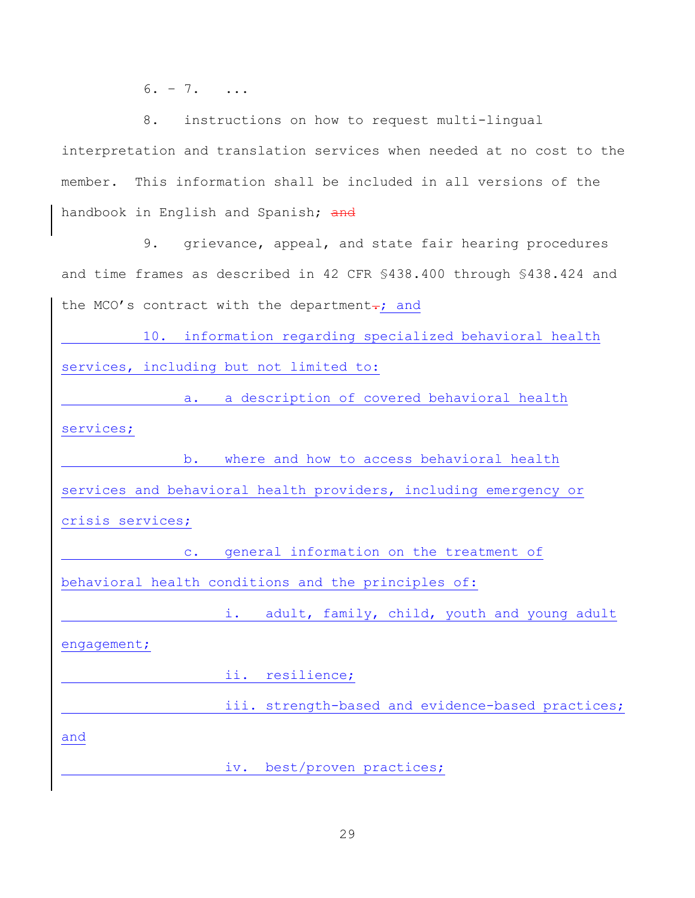$6. - 7.$  ...

8. instructions on how to request multi-lingual interpretation and translation services when needed at no cost to the member. This information shall be included in all versions of the handbook in English and Spanish; and

9. grievance, appeal, and state fair hearing procedures and time frames as described in 42 CFR §438.400 through §438.424 and the MCO's contract with the department-; and

10. information regarding specialized behavioral health services, including but not limited to:

a. a description of covered behavioral health services;

b. where and how to access behavioral health services and behavioral health providers, including emergency or crisis services;

c. general information on the treatment of behavioral health conditions and the principles of:

i. adult, family, child, youth and young adult

engagement;

ii. resilience;

iii. strength-based and evidence-based practices;

and

iv. best/proven practices;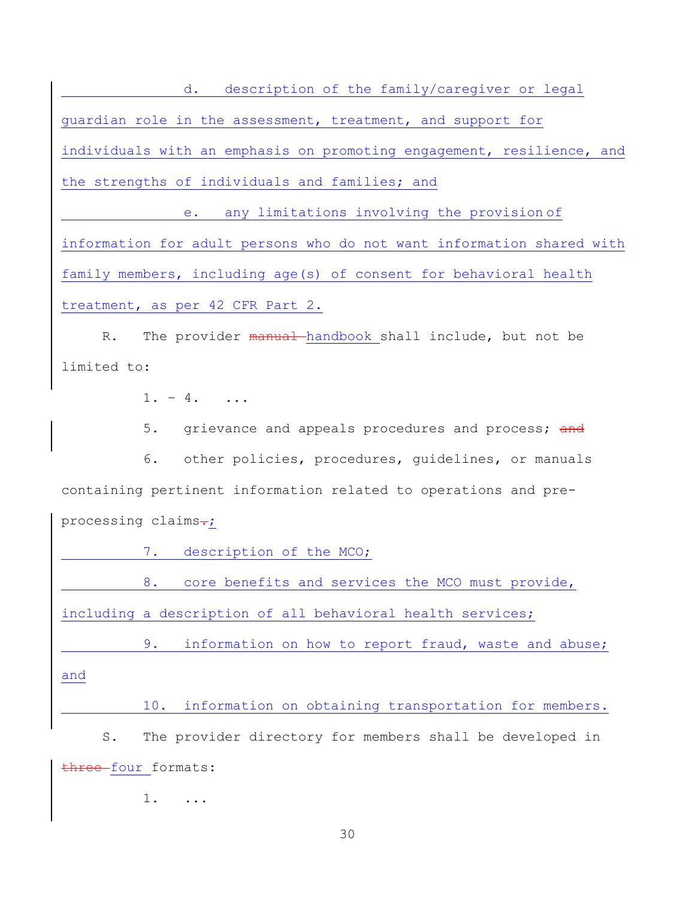d. description of the family/caregiver or legal guardian role in the assessment, treatment, and support for individuals with an emphasis on promoting engagement, resilience, and the strengths of individuals and families; and

e. any limitations involving the provision of information for adult persons who do not want information shared with family members, including age(s) of consent for behavioral health treatment, as per 42 CFR Part 2.

R. The provider manual handbook shall include, but not be limited to:

 $1. - 4.$  ...

5. grievance and appeals procedures and process; and

6. other policies, procedures, guidelines, or manuals containing pertinent information related to operations and preprocessing claims.;

7. description of the MCO;

8. core benefits and services the MCO must provide,

including a description of all behavioral health services;

9. information on how to report fraud, waste and abuse;

10. information on obtaining transportation for members.

S. The provider directory for members shall be developed in three four formats:

1. ...

and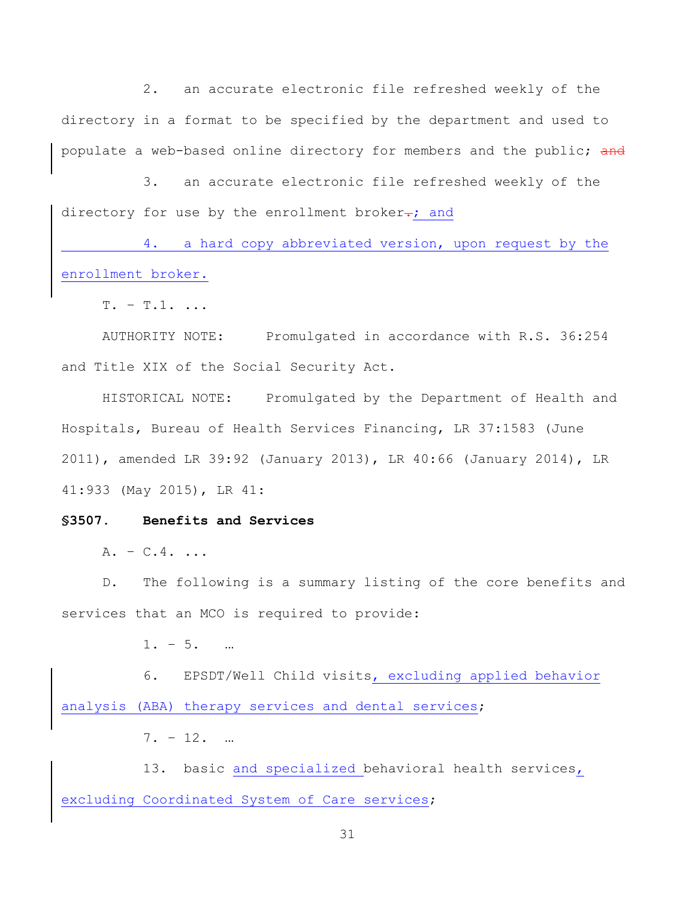2. an accurate electronic file refreshed weekly of the directory in a format to be specified by the department and used to populate a web-based online directory for members and the public; and

3. an accurate electronic file refreshed weekly of the directory for use by the enrollment broker-; and

4. a hard copy abbreviated version, upon request by the enrollment broker.

 $T. - T.1.$ ...

AUTHORITY NOTE: Promulgated in accordance with R.S. 36:254 and Title XIX of the Social Security Act.

HISTORICAL NOTE: Promulgated by the Department of Health and Hospitals, Bureau of Health Services Financing, LR 37:1583 (June 2011), amended LR 39:92 (January 2013), LR 40:66 (January 2014), LR 41:933 (May 2015), LR 41:

# **§3507. Benefits and Services**

 $A. - C.4. ...$ 

D. The following is a summary listing of the core benefits and services that an MCO is required to provide:

 $1. - 5.$  ...

6. EPSDT/Well Child visits, excluding applied behavior analysis (ABA) therapy services and dental services;

 $7. - 12.$  ...

13. basic and specialized behavioral health services, excluding Coordinated System of Care services;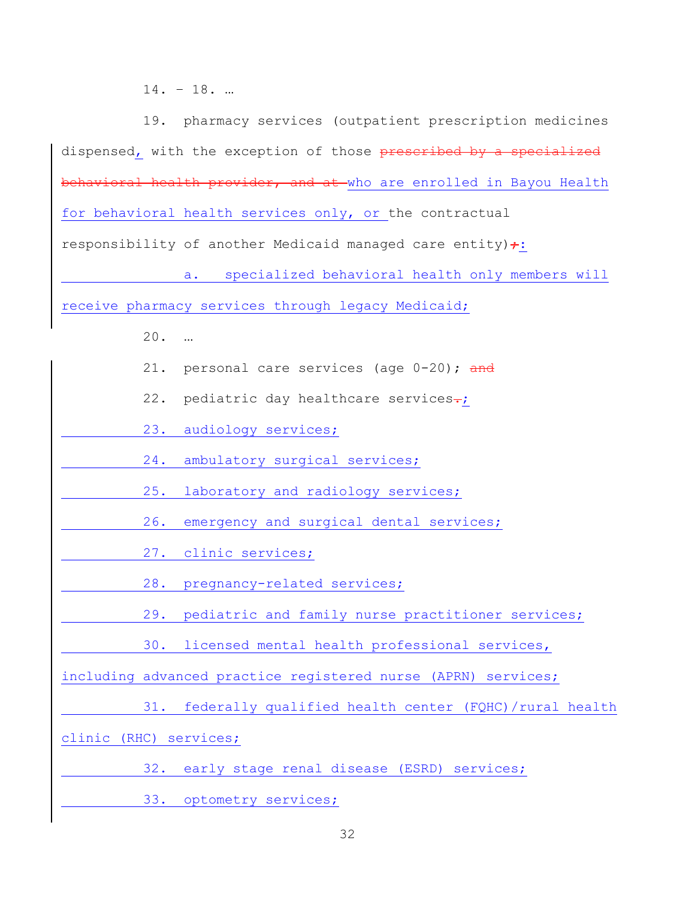14. – 18. ...

19. pharmacy services (outpatient prescription medicines dispensed, with the exception of those prescribed by a specialized behavioral health provider, and at who are enrolled in Bayou Health for behavioral health services only, or the contractual responsibility of another Medicaid managed care entity) $\div$ : a. specialized behavioral health only members will

receive pharmacy services through legacy Medicaid;

20. ...

- 21. personal care services (age 0-20); and
- 22. pediatric day healthcare services-;

23. audiology services;

24. ambulatory surgical services;

25. laboratory and radiology services;

26. emergency and surgical dental services;

27. clinic services;

28. pregnancy-related services;

29. pediatric and family nurse practitioner services;

30. licensed mental health professional services,

including advanced practice registered nurse (APRN) services;

31. federally qualified health center (FQHC)/rural health

clinic (RHC) services;

32. early stage renal disease (ESRD) services;

33. optometry services;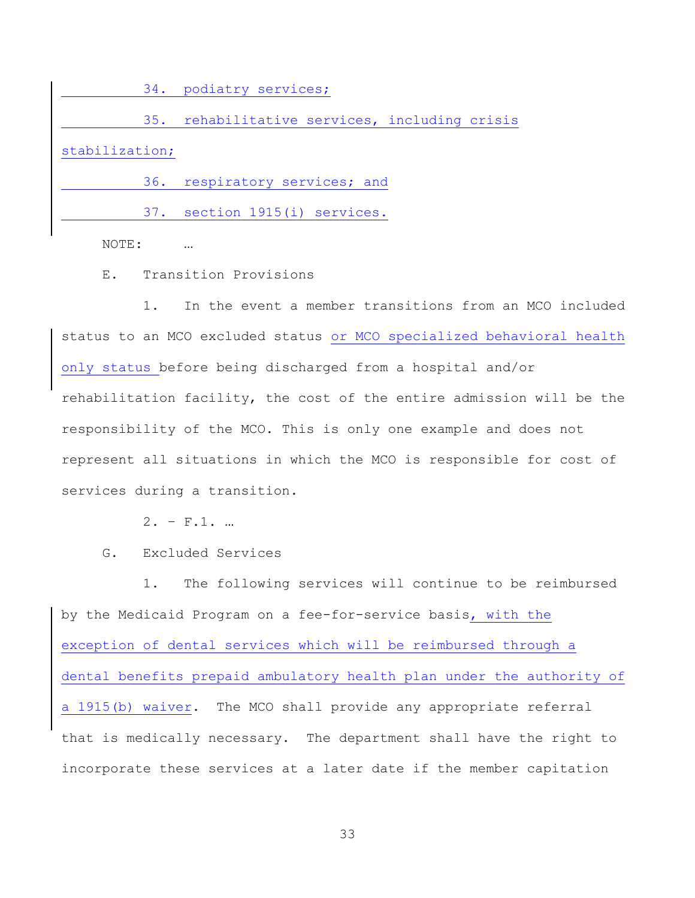34. podiatry services;

35. rehabilitative services, including crisis

stabilization;

36. respiratory services; and

37. section 1915(i) services.

NOTE: ...

E. Transition Provisions

1. In the event a member transitions from an MCO included status to an MCO excluded status or MCO specialized behavioral health only status before being discharged from a hospital and/or rehabilitation facility, the cost of the entire admission will be the responsibility of the MCO. This is only one example and does not represent all situations in which the MCO is responsible for cost of services during a transition.

 $2. - F.1.$  ...

G. Excluded Services

1. The following services will continue to be reimbursed by the Medicaid Program on a fee-for-service basis, with the exception of dental services which will be reimbursed through a dental benefits prepaid ambulatory health plan under the authority of a 1915(b) waiver. The MCO shall provide any appropriate referral that is medically necessary. The department shall have the right to incorporate these services at a later date if the member capitation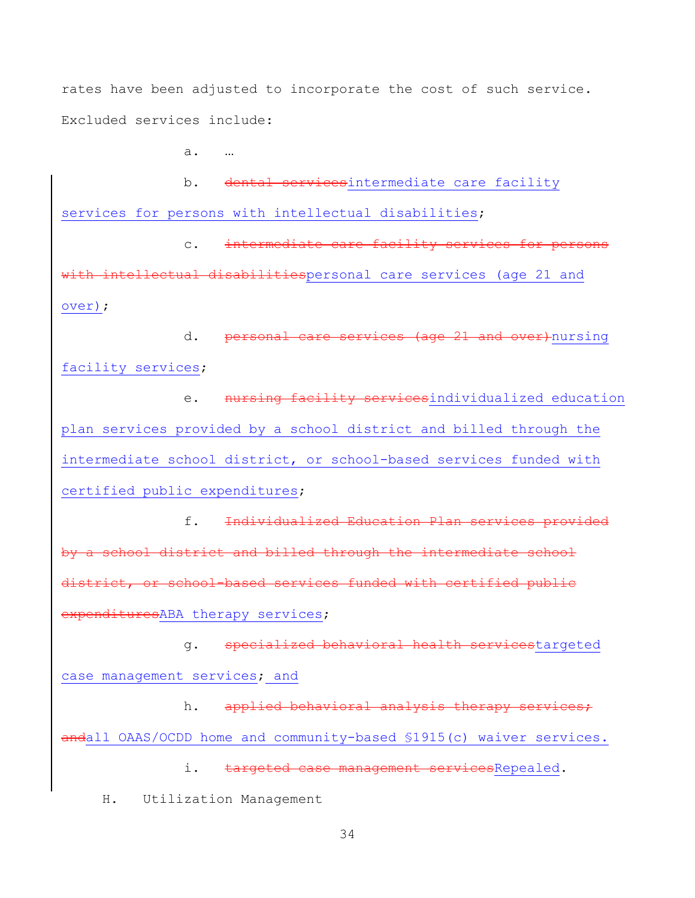rates have been adjusted to incorporate the cost of such service. Excluded services include:

a. ...

b. dental servicesintermediate care facility services for persons with intellectual disabilities;

c. intermediate care facility services for persons with intellectual disabilitiespersonal care services (age 21 and over);

d. personal care services (age 21 and over) nursing facility services;

e. nursing facility servicesindividualized education plan services provided by a school district and billed through the intermediate school district, or school-based services funded with certified public expenditures;

f. Individualized Education Plan services provided by a school district and billed through the intermediate school district, or school-based services funded with certified public expendituresABA therapy services;

g. specialized behavioral health servicestargeted case management services; and

h. applied behavioral analysis therapy services; andall OAAS/OCDD home and community-based \$1915(c) waiver services.

i. targeted case management servicesRepealed.

H. Utilization Management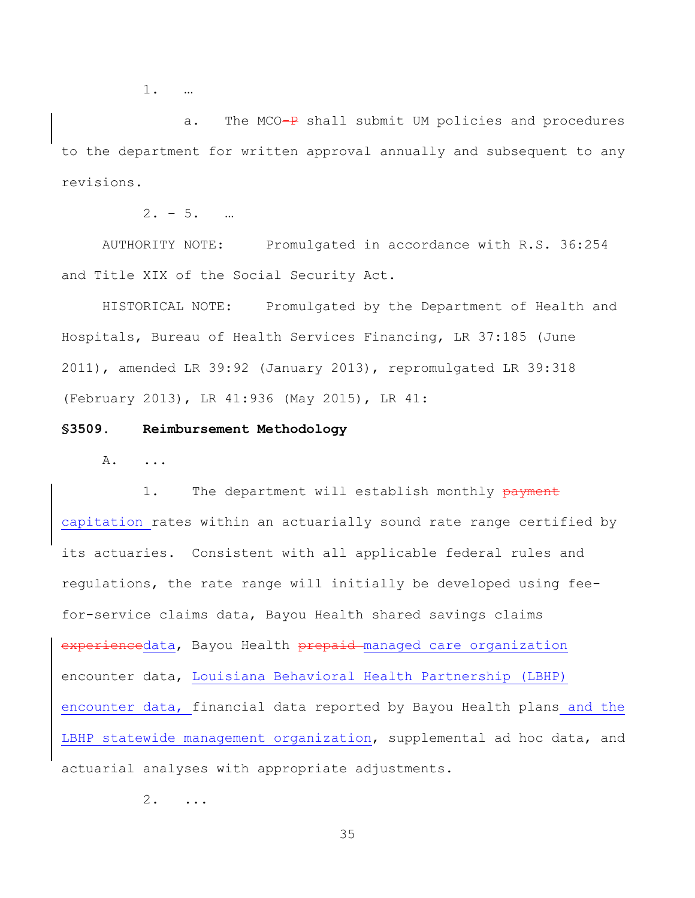a. The MCO-P shall submit UM policies and procedures to the department for written approval annually and subsequent to any revisions.

 $2. - 5.$  ...

AUTHORITY NOTE: Promulgated in accordance with R.S. 36:254 and Title XIX of the Social Security Act.

HISTORICAL NOTE: Promulgated by the Department of Health and Hospitals, Bureau of Health Services Financing, LR 37:185 (June 2011), amended LR 39:92 (January 2013), repromulgated LR 39:318 (February 2013), LR 41:936 (May 2015), LR 41:

#### **§3509. Reimbursement Methodology**

A. ...

1. The department will establish monthly payment capitation rates within an actuarially sound rate range certified by its actuaries. Consistent with all applicable federal rules and regulations, the rate range will initially be developed using feefor-service claims data, Bayou Health shared savings claims experiencedata, Bayou Health prepaid managed care organization encounter data, Louisiana Behavioral Health Partnership (LBHP) encounter data, financial data reported by Bayou Health plans and the LBHP statewide management organization, supplemental ad hoc data, and actuarial analyses with appropriate adjustments.

2. ...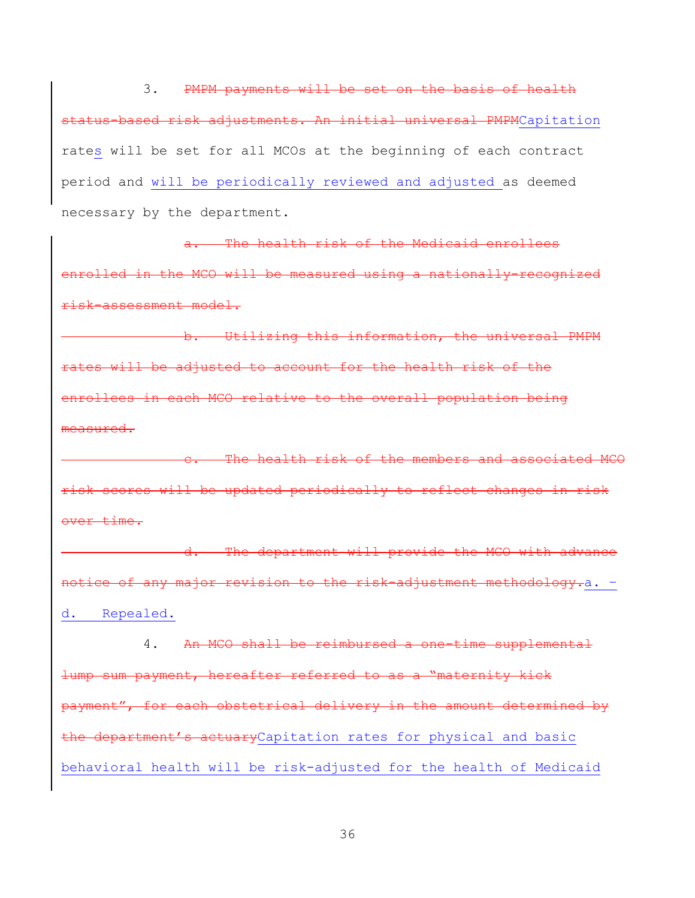3. PMPM payments will be set on the basis of health status-based risk adjustments. An initial universal PMPMCapitation rates will be set for all MCOs at the beginning of each contract period and will be periodically reviewed and adjusted as deemed necessary by the department.

The health risk of the Medicaid enrollees enrolled in the MCO will be measured using a nationally-recognized risk-assessment model.

b. Utilizing this information, the universal PMPM rates will be adjusted to account for the health risk of the enrollees in each MCO relative to the overall population being measured.

c. The health risk of the members and associated MCO risk scores will be updated periodically to reflect changes in risk over time.

d. The department will provide the MCO with advance notice of any major revision to the risk-adjustment methodology.a. d. Repealed.

4. An MCO shall be reimbursed a one-time supplemental lump sum payment, hereafter referred to as a "maternity kick payment", for each obstetrical delivery in the amount determined by the department's actuaryCapitation rates for physical and basic behavioral health will be risk-adjusted for the health of Medicaid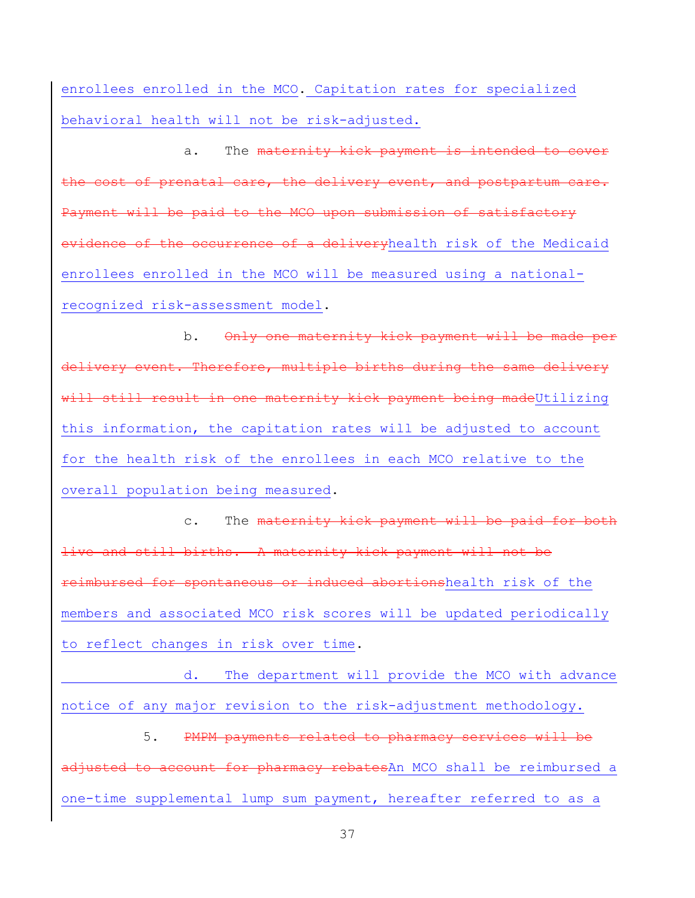enrollees enrolled in the MCO. Capitation rates for specialized behavioral health will not be risk-adjusted.

a. The maternity kick payment is intended to cover the cost of prenatal care, the delivery event, and postpartum care. Payment will be paid to the MCO upon submission of satisfactory evidence of the occurrence of a deliveryhealth risk of the Medicaid enrollees enrolled in the MCO will be measured using a nationalrecognized risk-assessment model.

b. Only one maternity kick payment will be made per delivery event. Therefore, multiple births during the same delivery will still result in one maternity kick payment being madeUtilizing this information, the capitation rates will be adjusted to account for the health risk of the enrollees in each MCO relative to the overall population being measured.

c. The maternity kick payment will be paid for both live and still births. A maternity kick payment will not be reimbursed for spontaneous or induced abortionshealth risk of the members and associated MCO risk scores will be updated periodically to reflect changes in risk over time.

d. The department will provide the MCO with advance notice of any major revision to the risk-adjustment methodology.

5. PMPM payments related to pharmacy services will be adjusted to account for pharmacy rebatesAn MCO shall be reimbursed a one-time supplemental lump sum payment, hereafter referred to as a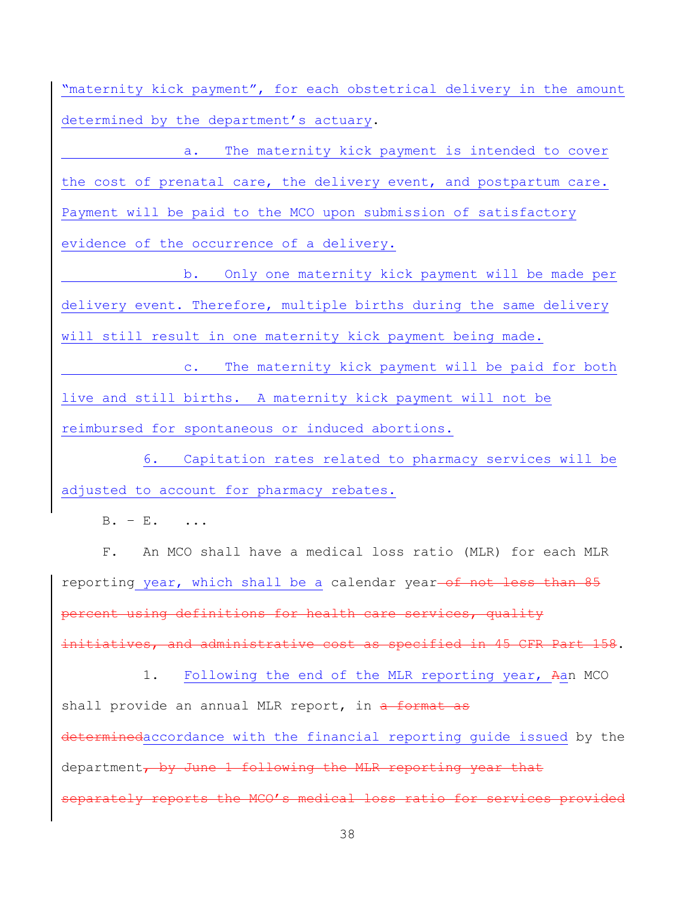"maternity kick payment", for each obstetrical delivery in the amount determined by the department's actuary.

a. The maternity kick payment is intended to cover the cost of prenatal care, the delivery event, and postpartum care. Payment will be paid to the MCO upon submission of satisfactory evidence of the occurrence of a delivery.

b. Only one maternity kick payment will be made per delivery event. Therefore, multiple births during the same delivery will still result in one maternity kick payment being made.

c. The maternity kick payment will be paid for both live and still births. A maternity kick payment will not be reimbursed for spontaneous or induced abortions.

6. Capitation rates related to pharmacy services will be adjusted to account for pharmacy rebates.

 $B. - E.$  ...

F. An MCO shall have a medical loss ratio (MLR) for each MLR reporting year, which shall be a calendar year-of not less than 85 percent using definitions for health care services, quality itiatives, and administrative cost as specified in 45 CFR Part 158.

1. Following the end of the MLR reporting year, Aan MCO shall provide an annual MLR report, in a format as determinedaccordance with the financial reporting quide issued by the department, by June 1 following the MLR reporting year that separately reports the MCO's medical loss ratio for services provided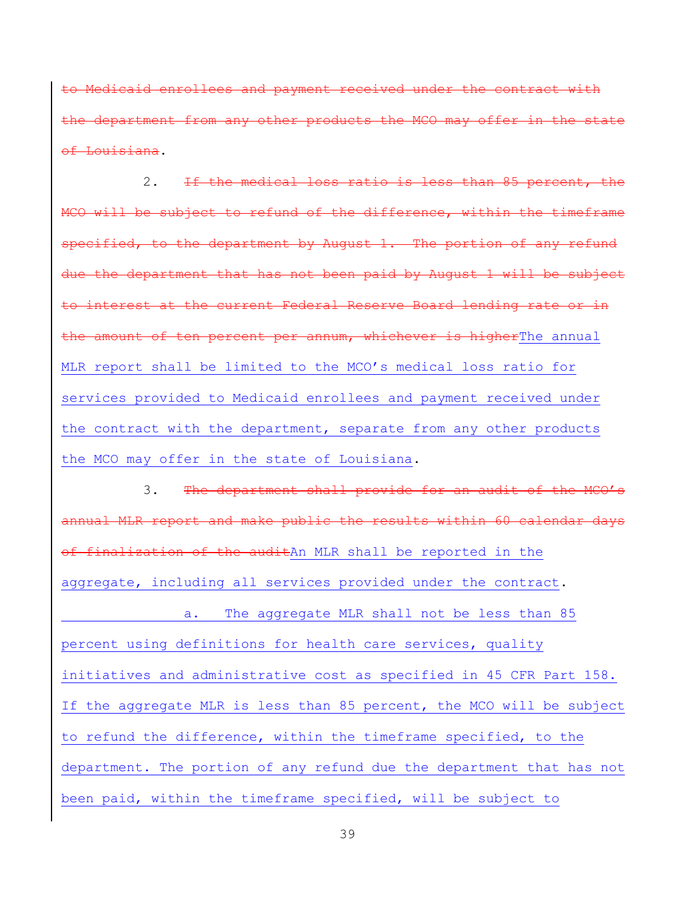to Medicaid enrollees and payment received under the contract with department from any other products the MCO may Louisiana.

2. If the medical loss ratio is less than 85 percent, the MCO will be subject to refund of the difference, within the timeframe specified, to the department by August 1. The portion of any refund due the department that has not been paid by August 1 will be subject to interest at the current Federal Reserve Board lending rate or in the amount of ten percent per annum, whichever is higherThe annual MLR report shall be limited to the MCO's medical loss ratio for services provided to Medicaid enrollees and payment received under the contract with the department, separate from any other products the MCO may offer in the state of Louisiana.

3. The department shall provide for an audit of the MCO's annual MLR report and make public the results within 60 calendar days finalization of the auditAn MLR shall be reported in the aggregate, including all services provided under the contract.

a. The aggregate MLR shall not be less than 85 percent using definitions for health care services, quality initiatives and administrative cost as specified in 45 CFR Part 158. If the aggregate MLR is less than 85 percent, the MCO will be subject to refund the difference, within the timeframe specified, to the department. The portion of any refund due the department that has not been paid, within the timeframe specified, will be subject to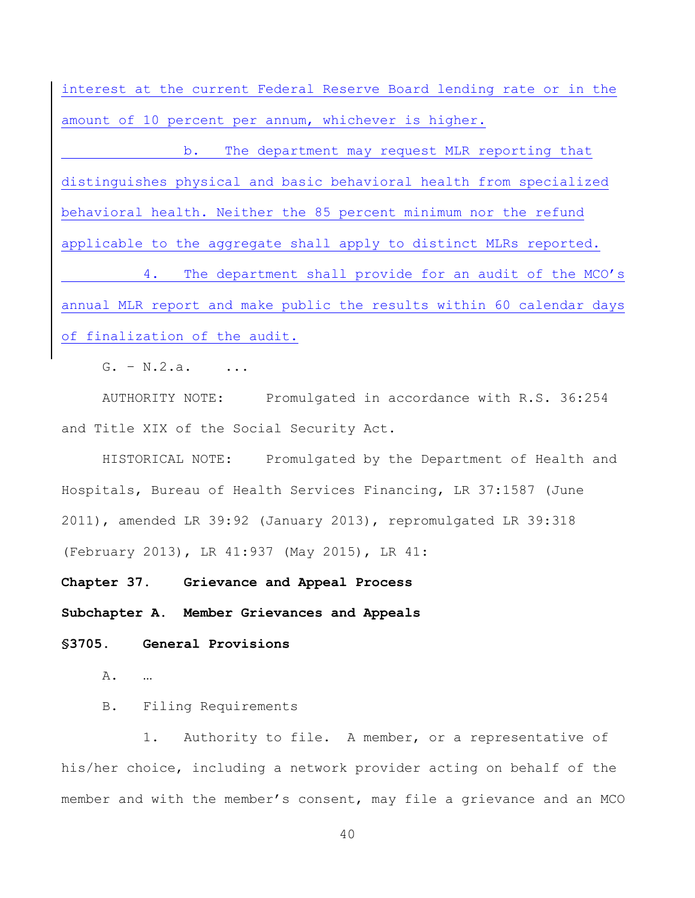interest at the current Federal Reserve Board lending rate or in the amount of 10 percent per annum, whichever is higher.

b. The department may request MLR reporting that distinguishes physical and basic behavioral health from specialized behavioral health. Neither the 85 percent minimum nor the refund applicable to the aggregate shall apply to distinct MLRs reported.

4. The department shall provide for an audit of the MCO's annual MLR report and make public the results within 60 calendar days of finalization of the audit.

 $G. - N.2.a.$  ...

AUTHORITY NOTE: Promulgated in accordance with R.S. 36:254 and Title XIX of the Social Security Act.

HISTORICAL NOTE: Promulgated by the Department of Health and Hospitals, Bureau of Health Services Financing, LR 37:1587 (June 2011), amended LR 39:92 (January 2013), repromulgated LR 39:318 (February 2013), LR 41:937 (May 2015), LR 41:

**Chapter 37. Grievance and Appeal Process** 

**Subchapter A. Member Grievances and Appeals** 

**§3705. General Provisions**

A. ...

B. Filing Requirements

1. Authority to file. A member, or a representative of his/her choice, including a network provider acting on behalf of the member and with the member's consent, may file a grievance and an MCO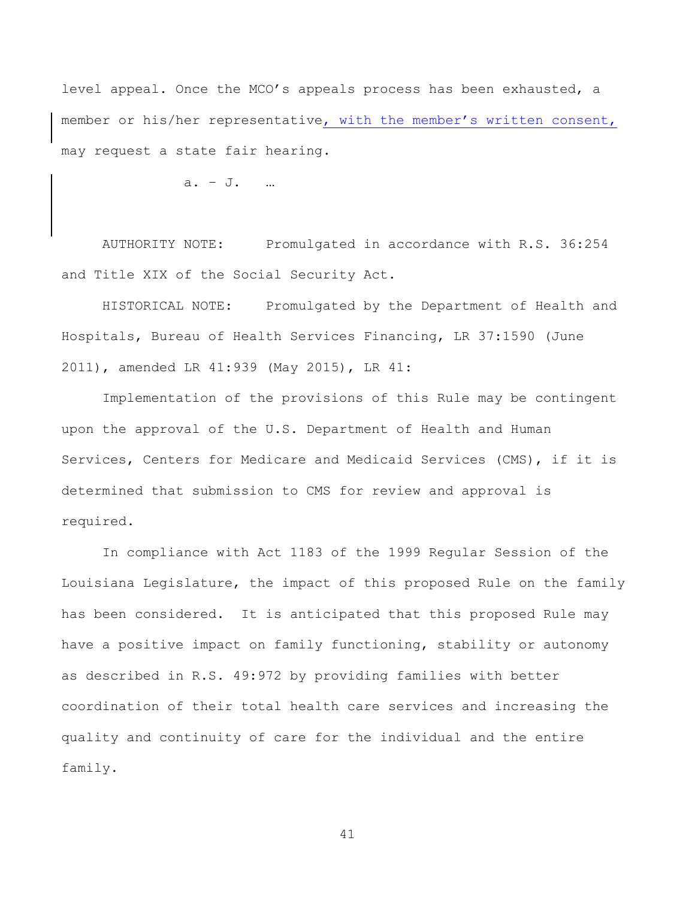level appeal. Once the MCO's appeals process has been exhausted, a member or his/her representative, with the member's written consent, may request a state fair hearing.

a. – J. ...

AUTHORITY NOTE: Promulgated in accordance with R.S. 36:254 and Title XIX of the Social Security Act.

HISTORICAL NOTE: Promulgated by the Department of Health and Hospitals, Bureau of Health Services Financing, LR 37:1590 (June 2011), amended LR 41:939 (May 2015), LR 41:

Implementation of the provisions of this Rule may be contingent upon the approval of the U.S. Department of Health and Human Services, Centers for Medicare and Medicaid Services (CMS), if it is determined that submission to CMS for review and approval is required.

In compliance with Act 1183 of the 1999 Regular Session of the Louisiana Legislature, the impact of this proposed Rule on the family has been considered. It is anticipated that this proposed Rule may have a positive impact on family functioning, stability or autonomy as described in R.S. 49:972 by providing families with better coordination of their total health care services and increasing the quality and continuity of care for the individual and the entire family.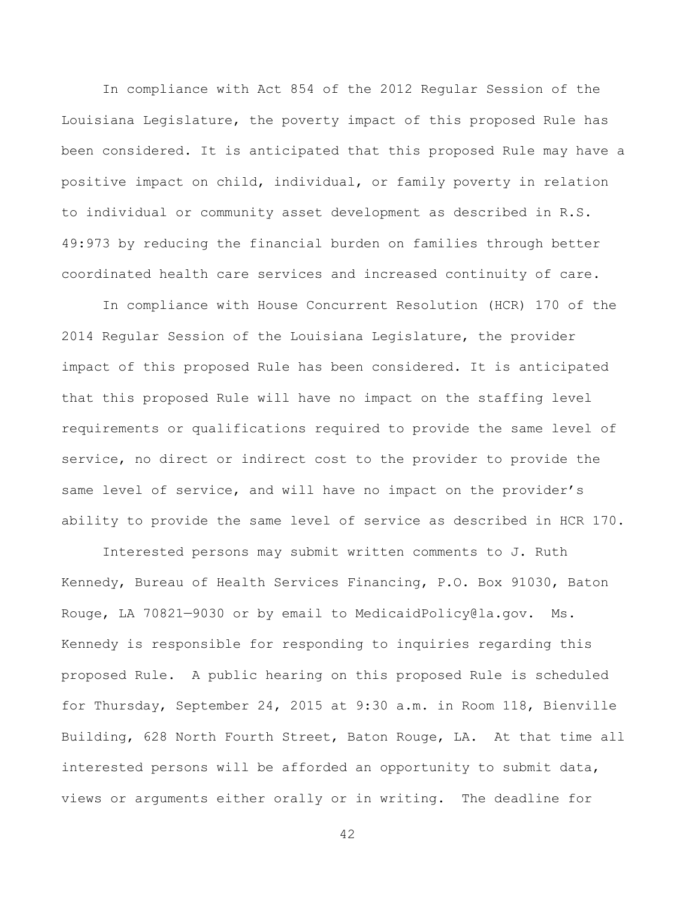In compliance with Act 854 of the 2012 Regular Session of the Louisiana Legislature, the poverty impact of this proposed Rule has been considered. It is anticipated that this proposed Rule may have a positive impact on child, individual, or family poverty in relation to individual or community asset development as described in R.S. 49:973 by reducing the financial burden on families through better coordinated health care services and increased continuity of care.

In compliance with House Concurrent Resolution (HCR) 170 of the 2014 Regular Session of the Louisiana Legislature, the provider impact of this proposed Rule has been considered. It is anticipated that this proposed Rule will have no impact on the staffing level requirements or qualifications required to provide the same level of service, no direct or indirect cost to the provider to provide the same level of service, and will have no impact on the provider's ability to provide the same level of service as described in HCR 170.

Interested persons may submit written comments to J. Ruth Kennedy, Bureau of Health Services Financing, P.O. Box 91030, Baton Rouge, LA 70821—9030 or by email to MedicaidPolicy@la.gov. Ms. Kennedy is responsible for responding to inquiries regarding this proposed Rule. A public hearing on this proposed Rule is scheduled for Thursday, September 24, 2015 at 9:30 a.m. in Room 118, Bienville Building, 628 North Fourth Street, Baton Rouge, LA. At that time all interested persons will be afforded an opportunity to submit data, views or arguments either orally or in writing. The deadline for